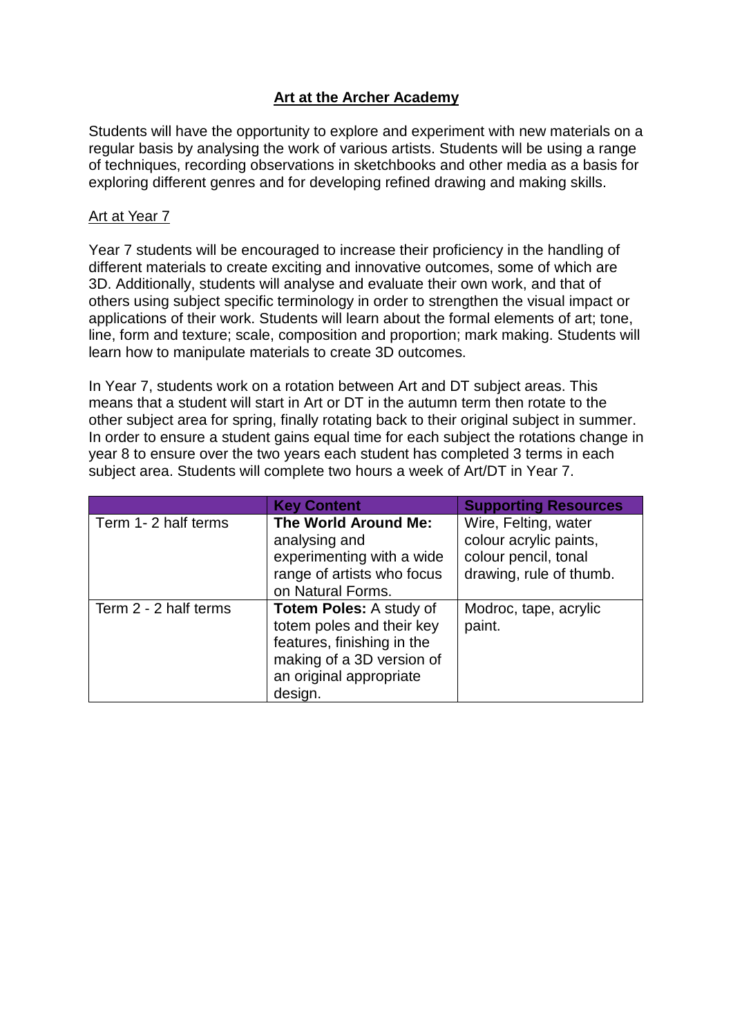# **Art at the Archer Academy**

Students will have the opportunity to explore and experiment with new materials on a regular basis by analysing the work of various artists. Students will be using a range of techniques, recording observations in sketchbooks and other media as a basis for exploring different genres and for developing refined drawing and making skills.

### Art at Year 7

Year 7 students will be encouraged to increase their proficiency in the handling of different materials to create exciting and innovative outcomes, some of which are 3D. Additionally, students will analyse and evaluate their own work, and that of others using subject specific terminology in order to strengthen the visual impact or applications of their work. Students will learn about the formal elements of art; tone, line, form and texture; scale, composition and proportion; mark making. Students will learn how to manipulate materials to create 3D outcomes.

In Year 7, students work on a rotation between Art and DT subject areas. This means that a student will start in Art or DT in the autumn term then rotate to the other subject area for spring, finally rotating back to their original subject in summer. In order to ensure a student gains equal time for each subject the rotations change in year 8 to ensure over the two years each student has completed 3 terms in each subject area. Students will complete two hours a week of Art/DT in Year 7.

|                       | <b>Key Content</b>             | <b>Supporting Resources</b> |
|-----------------------|--------------------------------|-----------------------------|
| Term 1-2 half terms   | <b>The World Around Me:</b>    | Wire, Felting, water        |
|                       | analysing and                  | colour acrylic paints,      |
|                       | experimenting with a wide      | colour pencil, tonal        |
|                       | range of artists who focus     | drawing, rule of thumb.     |
|                       | on Natural Forms.              |                             |
| Term 2 - 2 half terms | <b>Totem Poles: A study of</b> | Modroc, tape, acrylic       |
|                       | totem poles and their key      | paint.                      |
|                       | features, finishing in the     |                             |
|                       | making of a 3D version of      |                             |
|                       | an original appropriate        |                             |
|                       | design.                        |                             |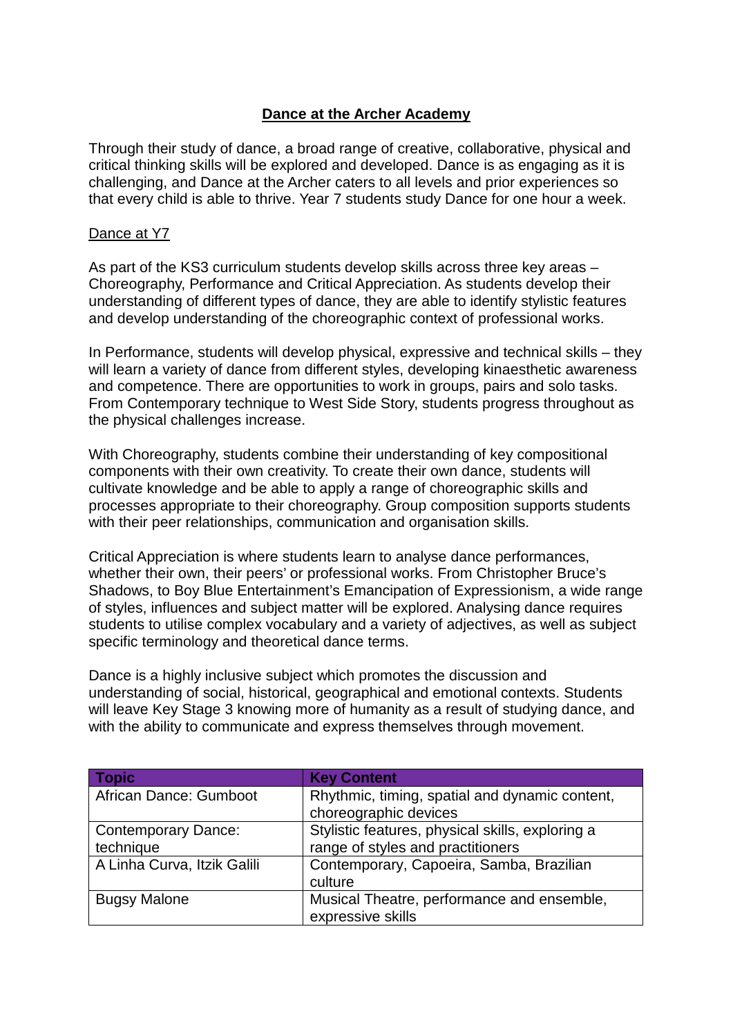## **Dance at the Archer Academy**

Through their study of dance, a broad range of creative, collaborative, physical and critical thinking skills will be explored and developed. Dance is as engaging as it is challenging, and Dance at the Archer caters to all levels and prior experiences so that every child is able to thrive. Year 7 students study Dance for one hour a week.

#### Dance at Y7

As part of the KS3 curriculum students develop skills across three key areas – Choreography, Performance and Critical Appreciation. As students develop their understanding of different types of dance, they are able to identify stylistic features and develop understanding of the choreographic context of professional works.

In Performance, students will develop physical, expressive and technical skills – they will learn a variety of dance from different styles, developing kinaesthetic awareness and competence. There are opportunities to work in groups, pairs and solo tasks. From Contemporary technique to West Side Story, students progress throughout as the physical challenges increase.

With Choreography, students combine their understanding of key compositional components with their own creativity. To create their own dance, students will cultivate knowledge and be able to apply a range of choreographic skills and processes appropriate to their choreography. Group composition supports students with their peer relationships, communication and organisation skills.

Critical Appreciation is where students learn to analyse dance performances, whether their own, their peers' or professional works. From Christopher Bruce's Shadows, to Boy Blue Entertainment's Emancipation of Expressionism, a wide range of styles, influences and subject matter will be explored. Analysing dance requires students to utilise complex vocabulary and a variety of adjectives, as well as subject specific terminology and theoretical dance terms.

Dance is a highly inclusive subject which promotes the discussion and understanding of social, historical, geographical and emotional contexts. Students will leave Key Stage 3 knowing more of humanity as a result of studying dance, and with the ability to communicate and express themselves through movement.

| <b>Topic</b>                | <b>Key Content</b>                               |  |
|-----------------------------|--------------------------------------------------|--|
| African Dance: Gumboot      | Rhythmic, timing, spatial and dynamic content,   |  |
|                             | choreographic devices                            |  |
| <b>Contemporary Dance:</b>  | Stylistic features, physical skills, exploring a |  |
| technique                   | range of styles and practitioners                |  |
| A Linha Curva, Itzik Galili | Contemporary, Capoeira, Samba, Brazilian         |  |
|                             | culture                                          |  |
| <b>Bugsy Malone</b>         | Musical Theatre, performance and ensemble,       |  |
|                             | expressive skills                                |  |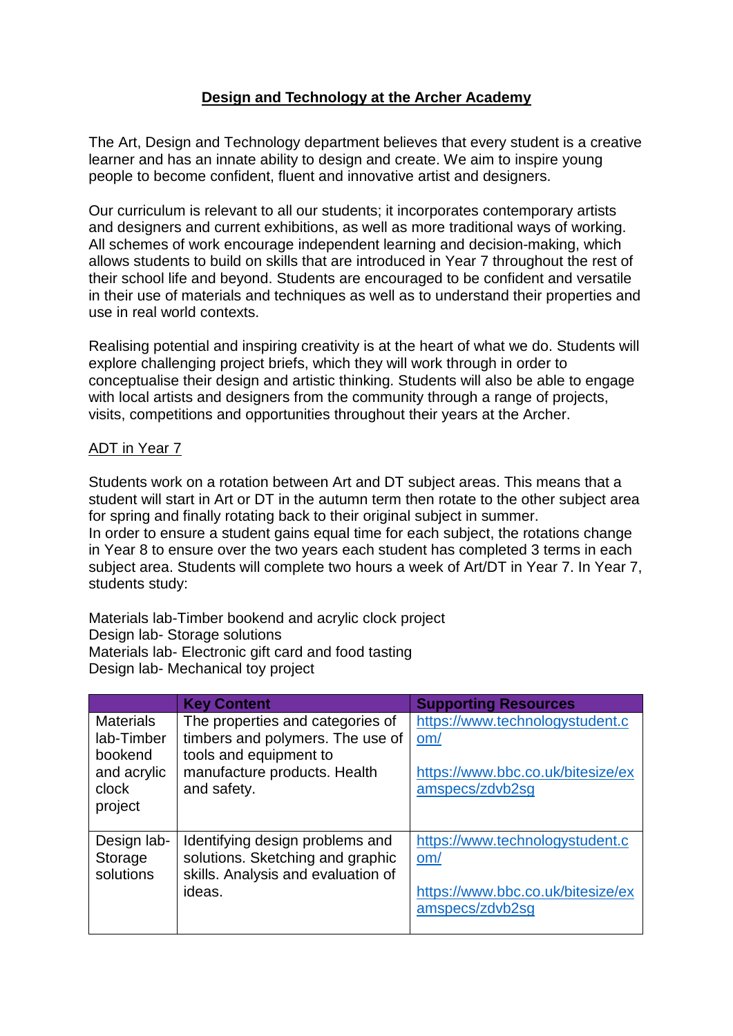# **Design and Technology at the Archer Academy**

The Art, Design and Technology department believes that every student is a creative learner and has an innate ability to design and create. We aim to inspire young people to become confident, fluent and innovative artist and designers.

Our curriculum is relevant to all our students; it incorporates contemporary artists and designers and current exhibitions, as well as more traditional ways of working. All schemes of work encourage independent learning and decision-making, which allows students to build on skills that are introduced in Year 7 throughout the rest of their school life and beyond. Students are encouraged to be confident and versatile in their use of materials and techniques as well as to understand their properties and use in real world contexts.

Realising potential and inspiring creativity is at the heart of what we do. Students will explore challenging project briefs, which they will work through in order to conceptualise their design and artistic thinking. Students will also be able to engage with local artists and designers from the community through a range of projects, visits, competitions and opportunities throughout their years at the Archer.

### ADT in Year 7

Students work on a rotation between Art and DT subject areas. This means that a student will start in Art or DT in the autumn term then rotate to the other subject area for spring and finally rotating back to their original subject in summer. In order to ensure a student gains equal time for each subject, the rotations change in Year 8 to ensure over the two years each student has completed 3 terms in each subject area. Students will complete two hours a week of Art/DT in Year 7. In Year 7, students study:

Materials lab-Timber bookend and acrylic clock project Design lab- Storage solutions Materials lab- Electronic gift card and food tasting Design lab- Mechanical toy project

|                                           | <b>Key Content</b>                                                                                                  | <b>Supporting Resources</b>                                                 |
|-------------------------------------------|---------------------------------------------------------------------------------------------------------------------|-----------------------------------------------------------------------------|
| <b>Materials</b><br>lab-Timber<br>bookend | The properties and categories of<br>timbers and polymers. The use of<br>tools and equipment to                      | https://www.technologystudent.c<br>om/                                      |
| and acrylic<br>clock<br>project           | manufacture products. Health<br>and safety.                                                                         | https://www.bbc.co.uk/bitesize/ex<br>amspecs/zdvb2sg                        |
| Design lab-<br>Storage<br>solutions       | Identifying design problems and<br>solutions. Sketching and graphic<br>skills. Analysis and evaluation of<br>ideas. | https://www.technologystudent.c<br>om/<br>https://www.bbc.co.uk/bitesize/ex |
|                                           |                                                                                                                     | amspecs/zdvb2sg                                                             |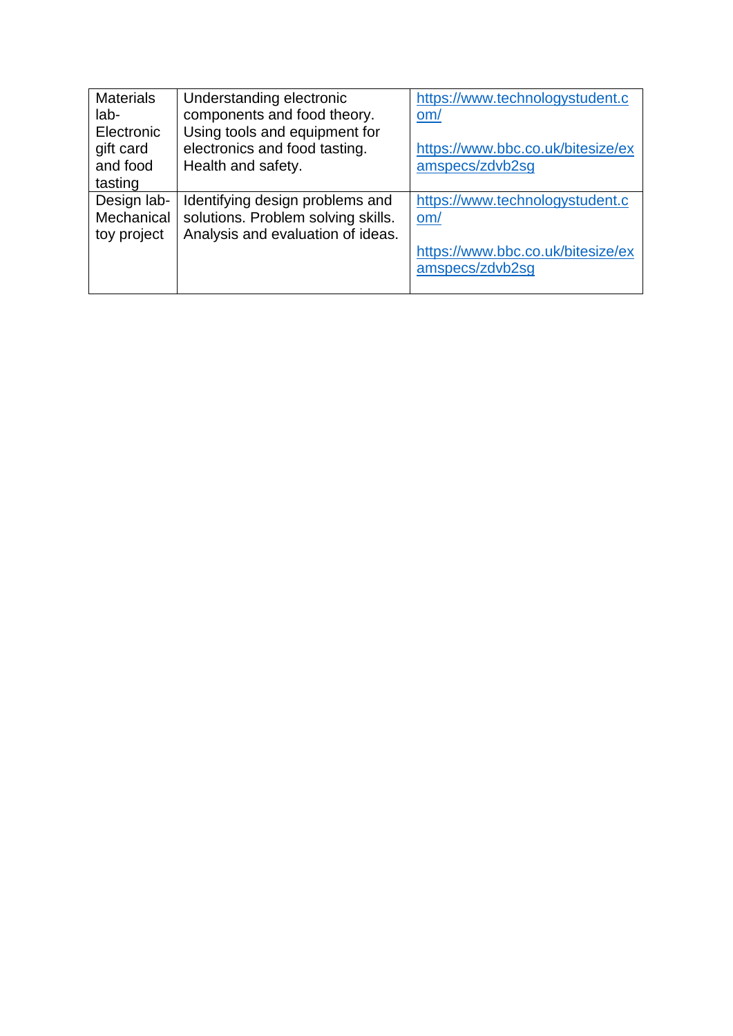| <b>Materials</b> | Understanding electronic           | https://www.technologystudent.c   |
|------------------|------------------------------------|-----------------------------------|
| $lab-$           | components and food theory.        | om/                               |
| Electronic       | Using tools and equipment for      |                                   |
| gift card        | electronics and food tasting.      | https://www.bbc.co.uk/bitesize/ex |
| and food         | Health and safety.                 | amspecs/zdvb2sg                   |
| tasting          |                                    |                                   |
| Design lab-      | Identifying design problems and    | https://www.technologystudent.c   |
| Mechanical       | solutions. Problem solving skills. | om/                               |
| toy project      | Analysis and evaluation of ideas.  |                                   |
|                  |                                    | https://www.bbc.co.uk/bitesize/ex |
|                  |                                    | amspecs/zdvb2sg                   |
|                  |                                    |                                   |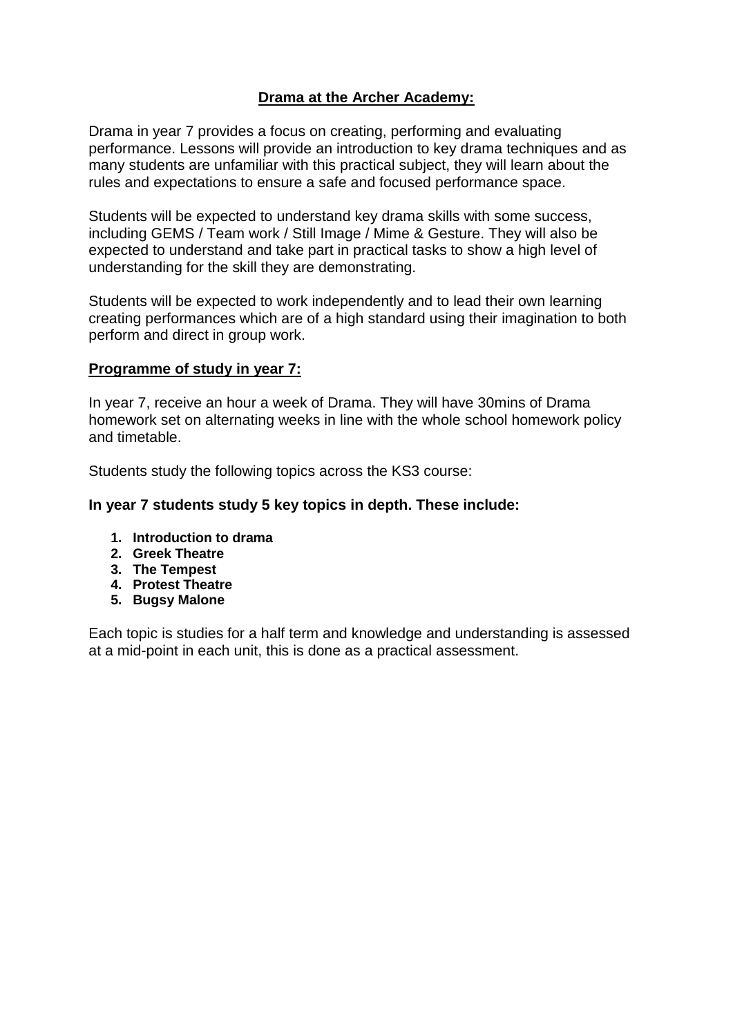## **Drama at the Archer Academy:**

Drama in year 7 provides a focus on creating, performing and evaluating performance. Lessons will provide an introduction to key drama techniques and as many students are unfamiliar with this practical subject, they will learn about the rules and expectations to ensure a safe and focused performance space.

Students will be expected to understand key drama skills with some success, including GEMS / Team work / Still Image / Mime & Gesture. They will also be expected to understand and take part in practical tasks to show a high level of understanding for the skill they are demonstrating.

Students will be expected to work independently and to lead their own learning creating performances which are of a high standard using their imagination to both perform and direct in group work.

#### **Programme of study in year 7:**

In year 7, receive an hour a week of Drama. They will have 30mins of Drama homework set on alternating weeks in line with the whole school homework policy and timetable.

Students study the following topics across the KS3 course:

#### **In year 7 students study 5 key topics in depth. These include:**

- **1. Introduction to drama**
- **2. Greek Theatre**
- **3. The Tempest**
- **4. Protest Theatre**
- **5. Bugsy Malone**

Each topic is studies for a half term and knowledge and understanding is assessed at a mid-point in each unit, this is done as a practical assessment.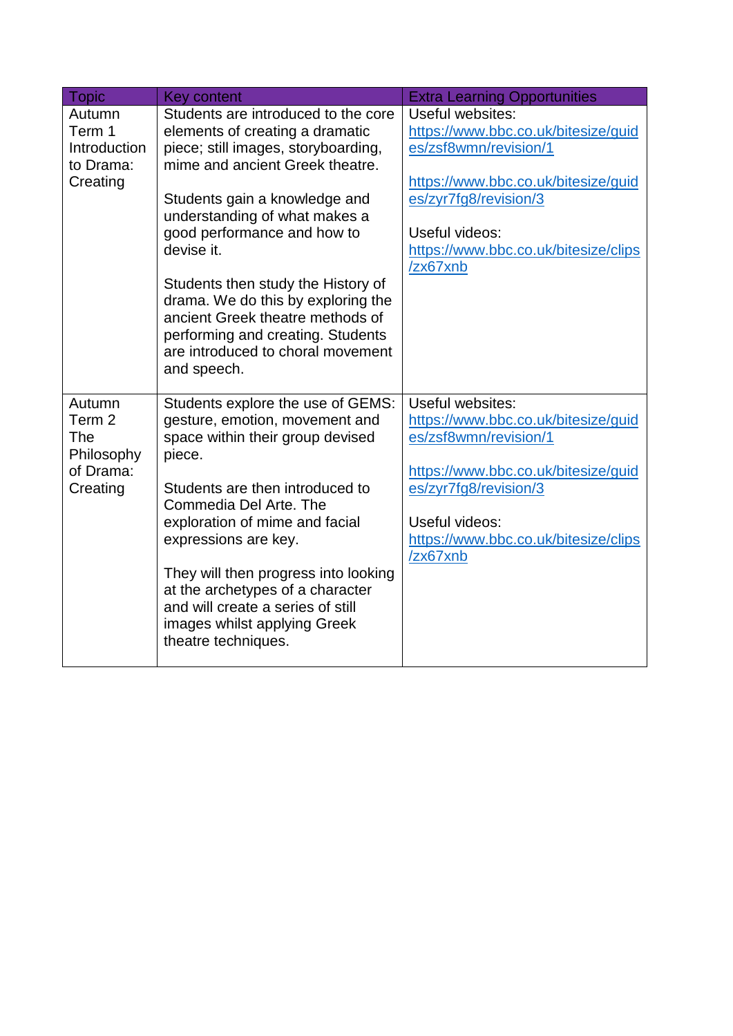| <b>Topic</b>                                                   | <b>Key content</b>                                                                                                                                                                                                                | <b>Extra Learning Opportunities</b>                                                                                                              |
|----------------------------------------------------------------|-----------------------------------------------------------------------------------------------------------------------------------------------------------------------------------------------------------------------------------|--------------------------------------------------------------------------------------------------------------------------------------------------|
| Autumn<br>Term 1<br>Introduction<br>to Drama:                  | Students are introduced to the core<br>elements of creating a dramatic<br>piece; still images, storyboarding,<br>mime and ancient Greek theatre.                                                                                  | Useful websites:<br>https://www.bbc.co.uk/bitesize/guid<br>es/zsf8wmn/revision/1                                                                 |
| Creating                                                       | Students gain a knowledge and<br>understanding of what makes a<br>good performance and how to<br>devise it.                                                                                                                       | https://www.bbc.co.uk/bitesize/guid<br>es/zyr7fg8/revision/3<br>Useful videos:<br>https://www.bbc.co.uk/bitesize/clips                           |
|                                                                | Students then study the History of<br>drama. We do this by exploring the<br>ancient Greek theatre methods of<br>performing and creating. Students<br>are introduced to choral movement<br>and speech.                             | /zx67xnb                                                                                                                                         |
| Autumn<br>Term 2<br>The<br>Philosophy<br>of Drama:<br>Creating | Students explore the use of GEMS:<br>gesture, emotion, movement and<br>space within their group devised<br>piece.<br>Students are then introduced to                                                                              | Useful websites:<br>https://www.bbc.co.uk/bitesize/guid<br>es/zsf8wmn/revision/1<br>https://www.bbc.co.uk/bitesize/guid<br>es/zyr7fg8/revision/3 |
|                                                                | Commedia Del Arte. The<br>exploration of mime and facial<br>expressions are key.<br>They will then progress into looking<br>at the archetypes of a character<br>and will create a series of still<br>images whilst applying Greek | Useful videos:<br>https://www.bbc.co.uk/bitesize/clips<br>/zx67xnb                                                                               |
|                                                                | theatre techniques.                                                                                                                                                                                                               |                                                                                                                                                  |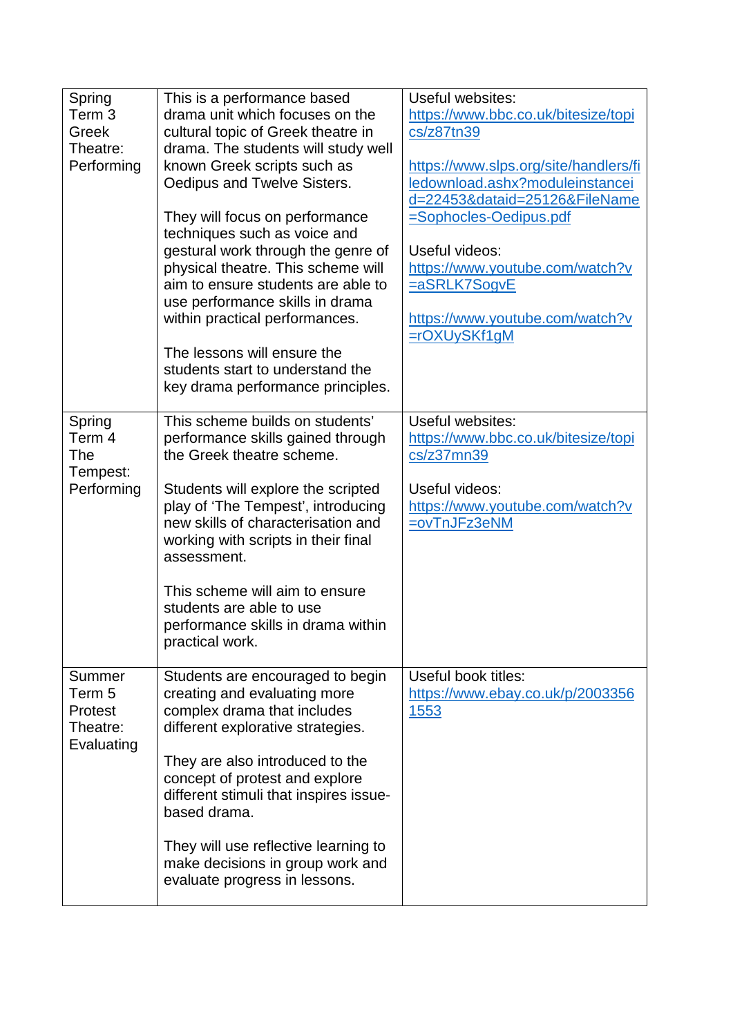| Spring<br>Term 3<br>Greek<br>Theatre:<br>Performing          | This is a performance based<br>drama unit which focuses on the<br>cultural topic of Greek theatre in<br>drama. The students will study well<br>known Greek scripts such as<br>Oedipus and Twelve Sisters.<br>They will focus on performance<br>techniques such as voice and<br>gestural work through the genre of<br>physical theatre. This scheme will<br>aim to ensure students are able to<br>use performance skills in drama<br>within practical performances. | Useful websites:<br>https://www.bbc.co.uk/bitesize/topi<br>cs/z87tn39<br>https://www.slps.org/site/handlers/fi<br>ledownload.ashx?moduleinstancei<br>d=22453&dataid=25126&FileName<br><u>=Sophocles-Oedipus.pdf</u><br>Useful videos:<br>https://www.youtube.com/watch?v<br>=aSRLK7SogvE<br>https://www.youtube.com/watch?v |
|--------------------------------------------------------------|--------------------------------------------------------------------------------------------------------------------------------------------------------------------------------------------------------------------------------------------------------------------------------------------------------------------------------------------------------------------------------------------------------------------------------------------------------------------|-----------------------------------------------------------------------------------------------------------------------------------------------------------------------------------------------------------------------------------------------------------------------------------------------------------------------------|
|                                                              | The lessons will ensure the<br>students start to understand the<br>key drama performance principles.                                                                                                                                                                                                                                                                                                                                                               | $=$ rOXUySKf1gM                                                                                                                                                                                                                                                                                                             |
| Spring<br>Term 4<br>The<br>Tempest:<br>Performing            | This scheme builds on students'<br>performance skills gained through<br>the Greek theatre scheme.<br>Students will explore the scripted<br>play of 'The Tempest', introducing<br>new skills of characterisation and<br>working with scripts in their final<br>assessment.<br>This scheme will aim to ensure<br>students are able to use<br>performance skills in drama within<br>practical work.                                                                   | Useful websites:<br>https://www.bbc.co.uk/bitesize/topi<br>cs/z37mn39<br>Useful videos:<br>https://www.youtube.com/watch?v<br>=ovTnJFz3eNM                                                                                                                                                                                  |
| Summer<br>Term 5<br><b>Protest</b><br>Theatre:<br>Evaluating | Students are encouraged to begin<br>creating and evaluating more<br>complex drama that includes<br>different explorative strategies.<br>They are also introduced to the<br>concept of protest and explore<br>different stimuli that inspires issue-<br>based drama.<br>They will use reflective learning to<br>make decisions in group work and<br>evaluate progress in lessons.                                                                                   | Useful book titles:<br>https://www.ebay.co.uk/p/2003356<br><u>1553</u>                                                                                                                                                                                                                                                      |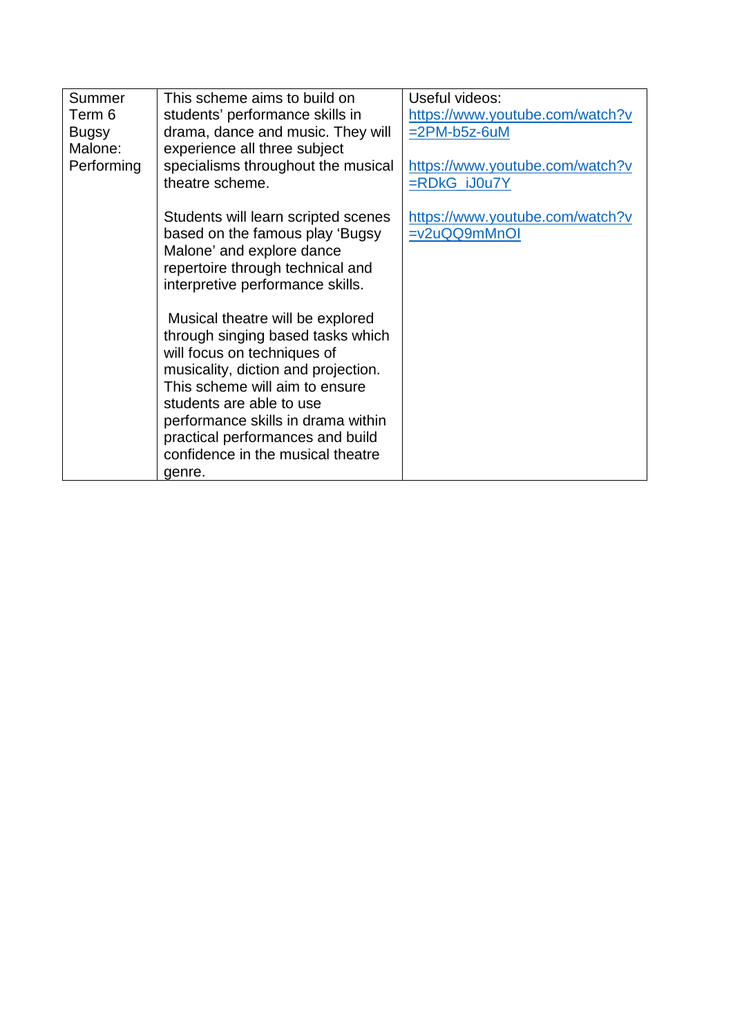| Summer       | This scheme aims to build on        | Useful videos:                  |
|--------------|-------------------------------------|---------------------------------|
| Term 6       | students' performance skills in     | https://www.youtube.com/watch?v |
| <b>Bugsy</b> | drama, dance and music. They will   | $=2PM-b5z-6uM$                  |
| Malone:      | experience all three subject        |                                 |
| Performing   | specialisms throughout the musical  | https://www.youtube.com/watch?v |
|              | theatre scheme.                     | $=$ RDkG $i$ J0u7Y              |
|              |                                     |                                 |
|              | Students will learn scripted scenes | https://www.youtube.com/watch?v |
|              | based on the famous play 'Bugsy     | =v2uQQ9mMnOI                    |
|              | Malone' and explore dance           |                                 |
|              | repertoire through technical and    |                                 |
|              | interpretive performance skills.    |                                 |
|              |                                     |                                 |
|              | Musical theatre will be explored    |                                 |
|              | through singing based tasks which   |                                 |
|              | will focus on techniques of         |                                 |
|              | musicality, diction and projection. |                                 |
|              | This scheme will aim to ensure      |                                 |
|              | students are able to use            |                                 |
|              | performance skills in drama within  |                                 |
|              | practical performances and build    |                                 |
|              | confidence in the musical theatre   |                                 |
|              | genre.                              |                                 |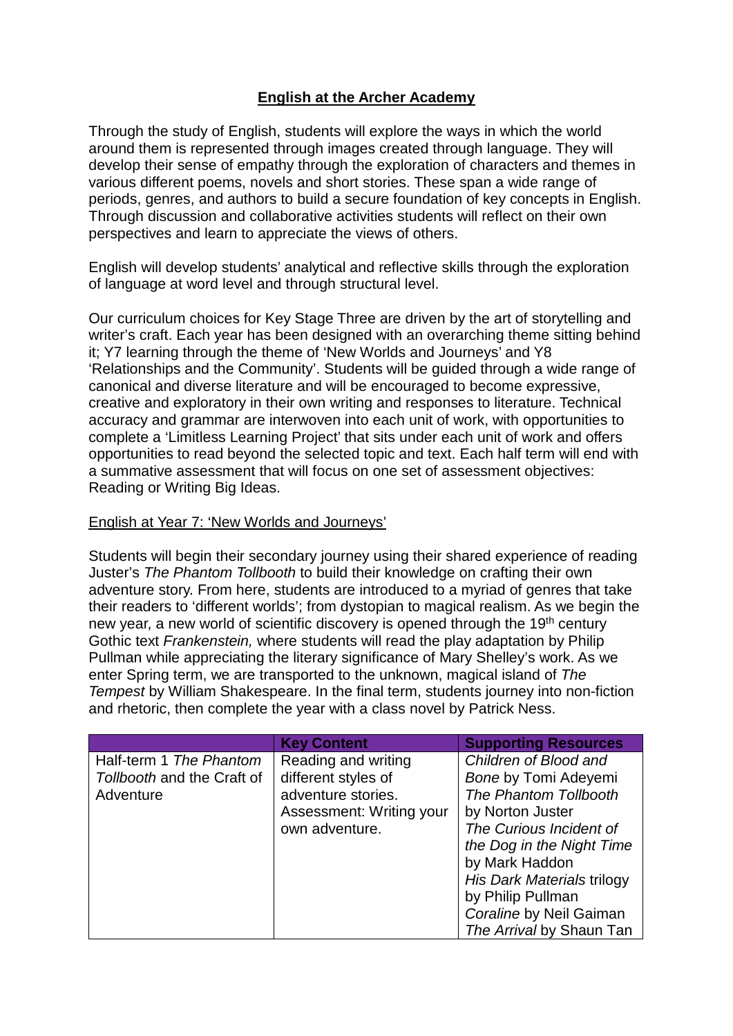# **English at the Archer Academy**

Through the study of English, students will explore the ways in which the world around them is represented through images created through language. They will develop their sense of empathy through the exploration of characters and themes in various different poems, novels and short stories. These span a wide range of periods, genres, and authors to build a secure foundation of key concepts in English. Through discussion and collaborative activities students will reflect on their own perspectives and learn to appreciate the views of others.

English will develop students' analytical and reflective skills through the exploration of language at word level and through structural level.

Our curriculum choices for Key Stage Three are driven by the art of storytelling and writer's craft. Each year has been designed with an overarching theme sitting behind it; Y7 learning through the theme of 'New Worlds and Journeys' and Y8 'Relationships and the Community'. Students will be guided through a wide range of canonical and diverse literature and will be encouraged to become expressive, creative and exploratory in their own writing and responses to literature. Technical accuracy and grammar are interwoven into each unit of work, with opportunities to complete a 'Limitless Learning Project' that sits under each unit of work and offers opportunities to read beyond the selected topic and text. Each half term will end with a summative assessment that will focus on one set of assessment objectives: Reading or Writing Big Ideas.

#### English at Year 7: 'New Worlds and Journeys'

Students will begin their secondary journey using their shared experience of reading Juster's *The Phantom Tollbooth* to build their knowledge on crafting their own adventure story. From here, students are introduced to a myriad of genres that take their readers to 'different worlds'; from dystopian to magical realism. As we begin the new year, a new world of scientific discovery is opened through the 19<sup>th</sup> century Gothic text *Frankenstein,* where students will read the play adaptation by Philip Pullman while appreciating the literary significance of Mary Shelley's work. As we enter Spring term, we are transported to the unknown, magical island of *The Tempest* by William Shakespeare. In the final term, students journey into non-fiction and rhetoric, then complete the year with a class novel by Patrick Ness.

|                            | <b>Key Content</b>       | <b>Supporting Resources</b> |
|----------------------------|--------------------------|-----------------------------|
| Half-term 1 The Phantom    | Reading and writing      | Children of Blood and       |
| Tollbooth and the Craft of | different styles of      | Bone by Tomi Adeyemi        |
| Adventure                  | adventure stories.       | The Phantom Tollbooth       |
|                            | Assessment: Writing your | by Norton Juster            |
|                            | own adventure.           | The Curious Incident of     |
|                            |                          | the Dog in the Night Time   |
|                            |                          | by Mark Haddon              |
|                            |                          | His Dark Materials trilogy  |
|                            |                          | by Philip Pullman           |
|                            |                          | Coraline by Neil Gaiman     |
|                            |                          | The Arrival by Shaun Tan    |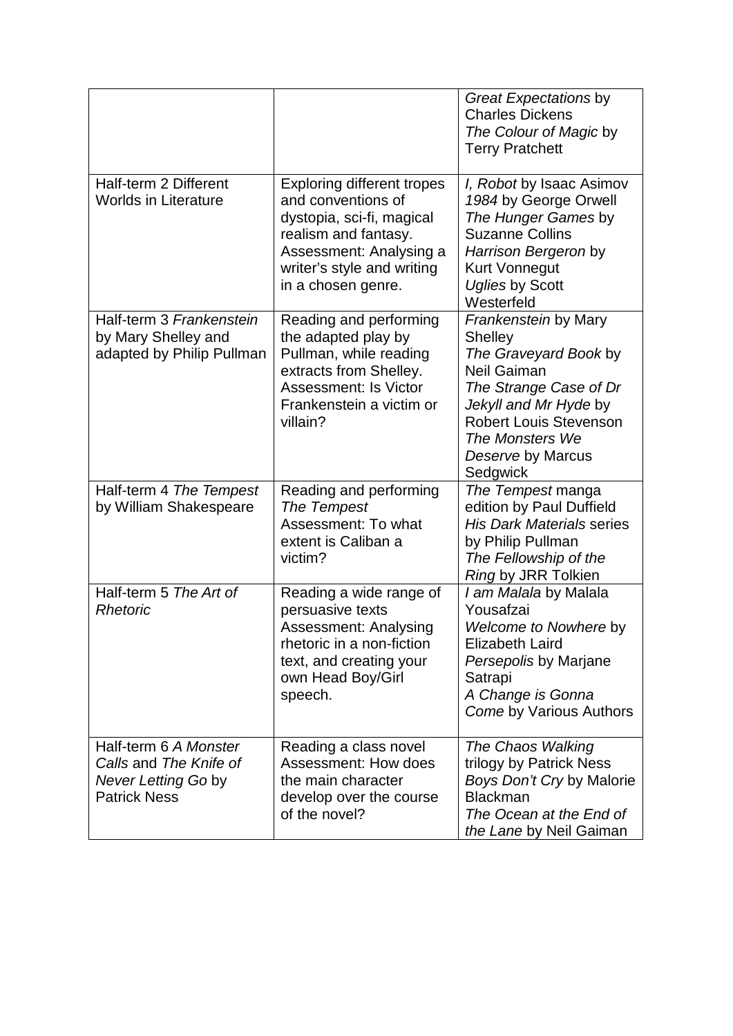|                                                                                               |                                                                                                                                                                                             | Great Expectations by<br><b>Charles Dickens</b><br>The Colour of Magic by<br><b>Terry Pratchett</b>                                                                                                                    |
|-----------------------------------------------------------------------------------------------|---------------------------------------------------------------------------------------------------------------------------------------------------------------------------------------------|------------------------------------------------------------------------------------------------------------------------------------------------------------------------------------------------------------------------|
| Half-term 2 Different<br><b>Worlds in Literature</b>                                          | <b>Exploring different tropes</b><br>and conventions of<br>dystopia, sci-fi, magical<br>realism and fantasy.<br>Assessment: Analysing a<br>writer's style and writing<br>in a chosen genre. | <i>I, Robot</i> by Isaac Asimov<br>1984 by George Orwell<br>The Hunger Games by<br><b>Suzanne Collins</b><br>Harrison Bergeron by<br><b>Kurt Vonnegut</b><br><b>Uglies by Scott</b><br>Westerfeld                      |
| Half-term 3 Frankenstein<br>by Mary Shelley and<br>adapted by Philip Pullman                  | Reading and performing<br>the adapted play by<br>Pullman, while reading<br>extracts from Shelley.<br><b>Assessment: Is Victor</b><br>Frankenstein a victim or<br>villain?                   | Frankenstein by Mary<br>Shelley<br>The Graveyard Book by<br><b>Neil Gaiman</b><br>The Strange Case of Dr<br>Jekyll and Mr Hyde by<br><b>Robert Louis Stevenson</b><br>The Monsters We<br>Deserve by Marcus<br>Sedgwick |
| Half-term 4 The Tempest<br>by William Shakespeare                                             | Reading and performing<br>The Tempest<br>Assessment: To what<br>extent is Caliban a<br>victim?                                                                                              | The Tempest manga<br>edition by Paul Duffield<br><b>His Dark Materials series</b><br>by Philip Pullman<br>The Fellowship of the<br>Ring by JRR Tolkien                                                                 |
| Half-term 5 The Art of<br>Rhetoric                                                            | Reading a wide range of<br>persuasive texts<br>Assessment: Analysing<br>rhetoric in a non-fiction<br>text, and creating your<br>own Head Boy/Girl<br>speech.                                | I am Malala by Malala<br>Yousafzai<br>Welcome to Nowhere by<br><b>Elizabeth Laird</b><br>Persepolis by Marjane<br>Satrapi<br>A Change is Gonna<br>Come by Various Authors                                              |
| Half-term 6 A Monster<br>Calls and The Knife of<br>Never Letting Go by<br><b>Patrick Ness</b> | Reading a class novel<br><b>Assessment: How does</b><br>the main character<br>develop over the course<br>of the novel?                                                                      | The Chaos Walking<br>trilogy by Patrick Ness<br>Boys Don't Cry by Malorie<br><b>Blackman</b><br>The Ocean at the End of<br>the Lane by Neil Gaiman                                                                     |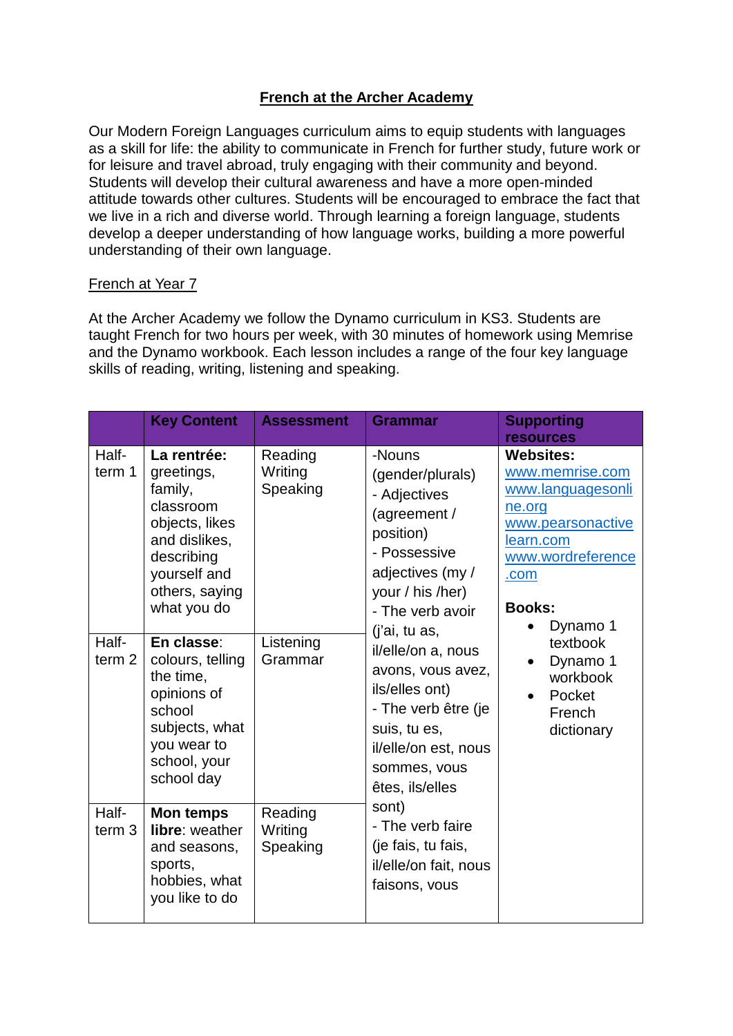# **French at the Archer Academy**

Our Modern Foreign Languages curriculum aims to equip students with languages as a skill for life: the ability to communicate in French for further study, future work or for leisure and travel abroad, truly engaging with their community and beyond. Students will develop their cultural awareness and have a more open-minded attitude towards other cultures. Students will be encouraged to embrace the fact that we live in a rich and diverse world. Through learning a foreign language, students develop a deeper understanding of how language works, building a more powerful understanding of their own language.

#### French at Year 7

At the Archer Academy we follow the Dynamo curriculum in KS3. Students are taught French for two hours per week, with 30 minutes of homework using Memrise and the Dynamo workbook. Each lesson includes a range of the four key language skills of reading, writing, listening and speaking.

|                            | <b>Key Content</b>                                                                                                                                  | <b>Assessment</b>              | <b>Grammar</b>                                                                                                                                                                                                                                                                                                                      | <b>Supporting</b><br><b>resources</b>                                           |  |  |  |  |  |  |  |  |                                                                                            |
|----------------------------|-----------------------------------------------------------------------------------------------------------------------------------------------------|--------------------------------|-------------------------------------------------------------------------------------------------------------------------------------------------------------------------------------------------------------------------------------------------------------------------------------------------------------------------------------|---------------------------------------------------------------------------------|--|--|--|--|--|--|--|--|--------------------------------------------------------------------------------------------|
| Half-<br>term 1            | La rentrée:<br>greetings,<br>family,<br>classroom<br>objects, likes<br>and dislikes,<br>describing<br>yourself and<br>others, saying<br>what you do | Reading<br>Writing<br>Speaking | -Nouns<br>(gender/plurals)<br>- Adjectives<br>(agreement /<br>position)<br>- Possessive<br>adjectives (my /<br>your / his /her)<br>- The verb avoir<br>(i'ai, tu as,<br>il/elle/on a, nous<br>avons, vous avez,<br>ils/elles ont)<br>- The verb être (je<br>suis, tu es,<br>il/elle/on est, nous<br>sommes, vous<br>êtes, ils/elles | <b>Websites:</b><br>ne.org<br>learn.com<br>.com<br><b>Books:</b>                |  |  |  |  |  |  |  |  | www.memrise.com<br>www.languagesonli<br>www.pearsonactive<br>www.wordreference<br>Dynamo 1 |
| Half-<br>term <sub>2</sub> | En classe:<br>colours, telling<br>the time,<br>opinions of<br>school<br>subjects, what<br>you wear to<br>school, your<br>school day                 | Listening<br>Grammar           |                                                                                                                                                                                                                                                                                                                                     | textbook<br>Dynamo 1<br>$\bullet$<br>workbook<br>Pocket<br>French<br>dictionary |  |  |  |  |  |  |  |  |                                                                                            |
| Half-<br>term <sub>3</sub> | Mon temps<br>libre: weather<br>and seasons,<br>sports,<br>hobbies, what<br>you like to do                                                           | Reading<br>Writing<br>Speaking | sont)<br>- The verb faire<br>(je fais, tu fais,<br>il/elle/on fait, nous<br>faisons, vous                                                                                                                                                                                                                                           |                                                                                 |  |  |  |  |  |  |  |  |                                                                                            |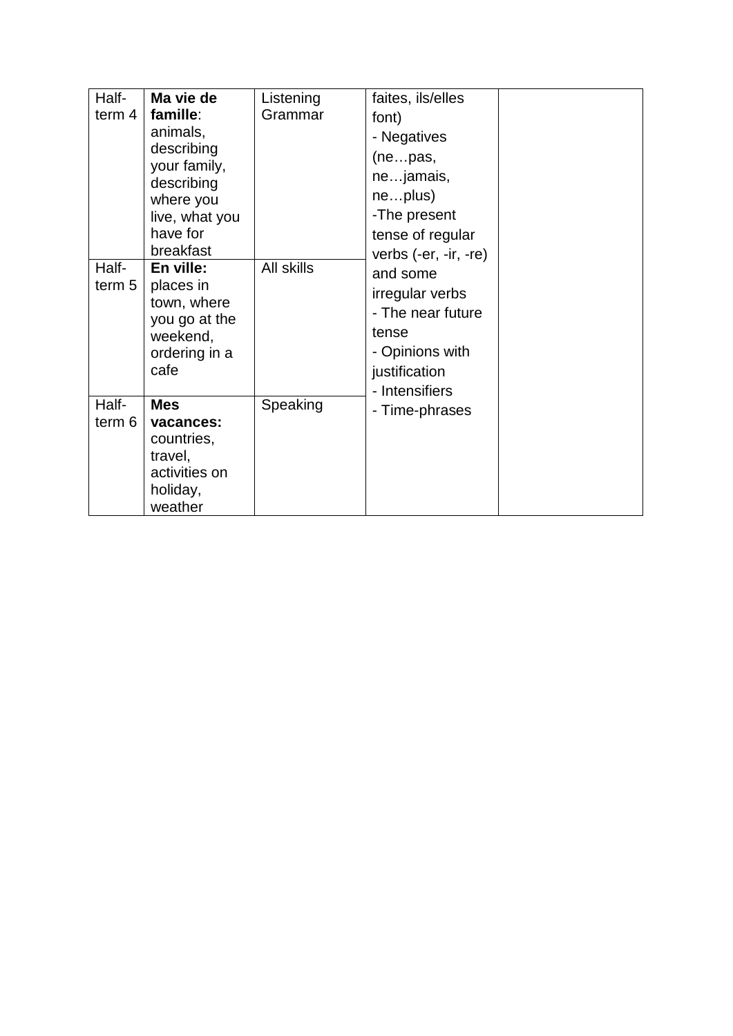| Half-  | Ma vie de             | Listening  | faites, ils/elles       |  |
|--------|-----------------------|------------|-------------------------|--|
| term 4 | famille:              | Grammar    | font)                   |  |
|        | animals,              |            | - Negatives             |  |
|        | describing            |            | (nepas,                 |  |
|        | your family,          |            | nejamais,               |  |
|        | describing            |            |                         |  |
|        | where you             |            | neplus)                 |  |
|        | live, what you        |            | -The present            |  |
|        | have for              |            | tense of regular        |  |
|        | breakfast             |            | verbs $(-er, -ir, -re)$ |  |
| Half-  | En ville:             | All skills | and some                |  |
| term 5 | places in             |            | irregular verbs         |  |
|        | town, where           |            | - The near future       |  |
|        | you go at the         |            | tense                   |  |
|        | weekend,              |            | - Opinions with         |  |
|        | ordering in a<br>cafe |            |                         |  |
|        |                       |            | justification           |  |
| Half-  | <b>Mes</b>            | Speaking   | - Intensifiers          |  |
| term 6 | vacances:             |            | - Time-phrases          |  |
|        | countries,            |            |                         |  |
|        | travel,               |            |                         |  |
|        | activities on         |            |                         |  |
|        | holiday,              |            |                         |  |
|        | weather               |            |                         |  |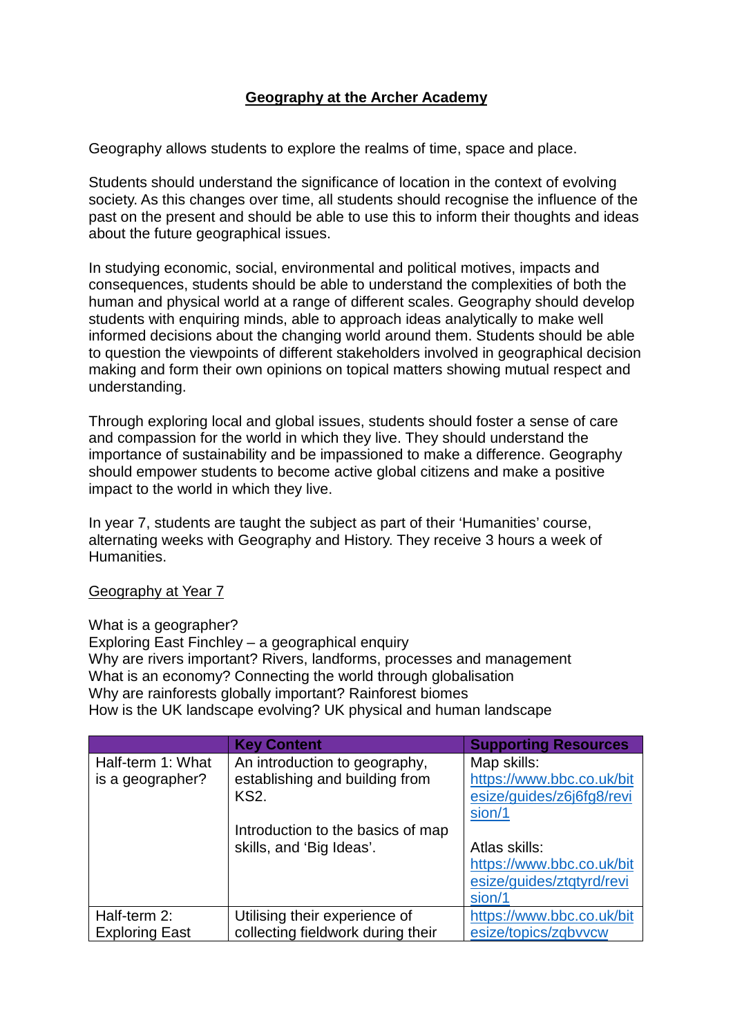# **Geography at the Archer Academy**

Geography allows students to explore the realms of time, space and place.

Students should understand the significance of location in the context of evolving society. As this changes over time, all students should recognise the influence of the past on the present and should be able to use this to inform their thoughts and ideas about the future geographical issues.

In studying economic, social, environmental and political motives, impacts and consequences, students should be able to understand the complexities of both the human and physical world at a range of different scales. Geography should develop students with enquiring minds, able to approach ideas analytically to make well informed decisions about the changing world around them. Students should be able to question the viewpoints of different stakeholders involved in geographical decision making and form their own opinions on topical matters showing mutual respect and understanding.

Through exploring local and global issues, students should foster a sense of care and compassion for the world in which they live. They should understand the importance of sustainability and be impassioned to make a difference. Geography should empower students to become active global citizens and make a positive impact to the world in which they live.

In year 7, students are taught the subject as part of their 'Humanities' course, alternating weeks with Geography and History. They receive 3 hours a week of Humanities.

#### Geography at Year 7

What is a geographer? Exploring East Finchley – a geographical enquiry Why are rivers important? Rivers, landforms, processes and management What is an economy? Connecting the world through globalisation Why are rainforests globally important? Rainforest biomes How is the UK landscape evolving? UK physical and human landscape

|                       | <b>Key Content</b>                | <b>Supporting Resources</b> |
|-----------------------|-----------------------------------|-----------------------------|
| Half-term 1: What     | An introduction to geography,     | Map skills:                 |
| is a geographer?      | establishing and building from    | https://www.bbc.co.uk/bit   |
|                       | KS2.                              | esize/guides/z6j6fg8/revi   |
|                       |                                   | sion/1                      |
|                       | Introduction to the basics of map |                             |
|                       | skills, and 'Big Ideas'.          | Atlas skills:               |
|                       |                                   | https://www.bbc.co.uk/bit   |
|                       |                                   | esize/guides/ztqtyrd/revi   |
|                       |                                   | sion/1                      |
| Half-term 2:          | Utilising their experience of     | https://www.bbc.co.uk/bit   |
| <b>Exploring East</b> | collecting fieldwork during their | esize/topics/zqbvvcw        |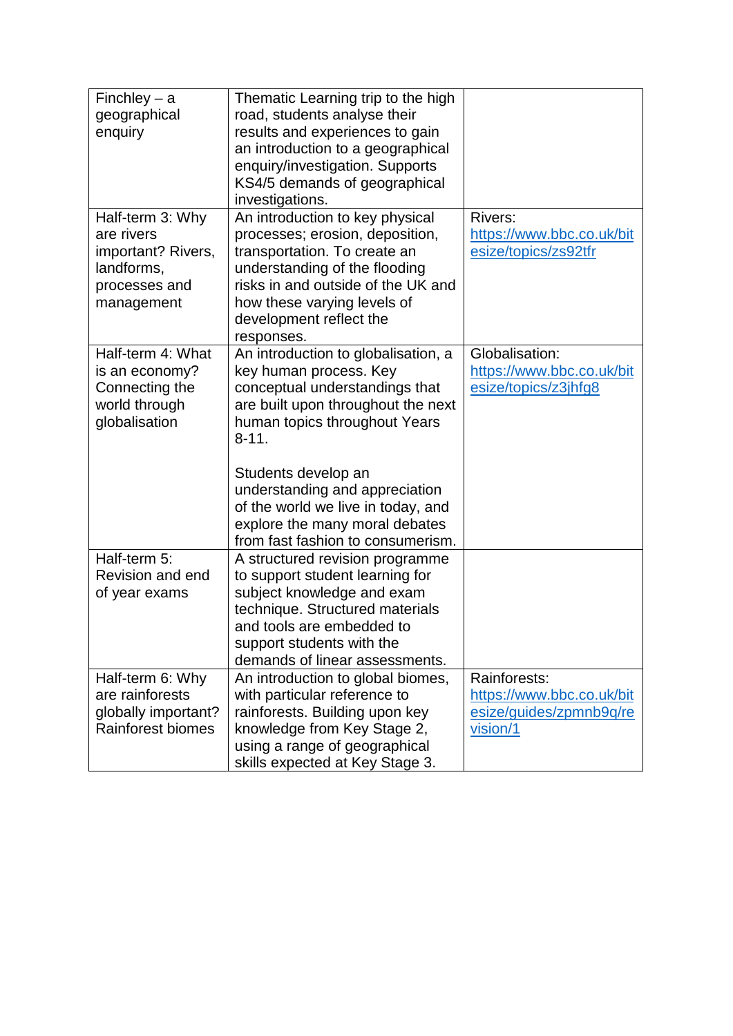| Finchley $-$ a<br>geographical<br>enquiry                                                         | Thematic Learning trip to the high<br>road, students analyse their<br>results and experiences to gain<br>an introduction to a geographical<br>enquiry/investigation. Supports<br>KS4/5 demands of geographical<br>investigations.                                                                                                                          |                                                                                  |
|---------------------------------------------------------------------------------------------------|------------------------------------------------------------------------------------------------------------------------------------------------------------------------------------------------------------------------------------------------------------------------------------------------------------------------------------------------------------|----------------------------------------------------------------------------------|
| Half-term 3: Why<br>are rivers<br>important? Rivers,<br>landforms,<br>processes and<br>management | An introduction to key physical<br>processes; erosion, deposition,<br>transportation. To create an<br>understanding of the flooding<br>risks in and outside of the UK and<br>how these varying levels of<br>development reflect the<br>responses.                                                                                                          | Rivers:<br>https://www.bbc.co.uk/bit<br>esize/topics/zs92tfr                     |
| Half-term 4: What<br>is an economy?<br>Connecting the<br>world through<br>globalisation           | An introduction to globalisation, a<br>key human process. Key<br>conceptual understandings that<br>are built upon throughout the next<br>human topics throughout Years<br>$8 - 11$ .<br>Students develop an<br>understanding and appreciation<br>of the world we live in today, and<br>explore the many moral debates<br>from fast fashion to consumerism. | Globalisation:<br>https://www.bbc.co.uk/bit<br>esize/topics/z3jhfg8              |
| Half-term 5:<br>Revision and end<br>of year exams                                                 | A structured revision programme<br>to support student learning for<br>subject knowledge and exam<br>technique. Structured materials<br>and tools are embedded to<br>support students with the<br>demands of linear assessments.                                                                                                                            |                                                                                  |
| Half-term 6: Why<br>are rainforests<br>globally important?<br>Rainforest biomes                   | An introduction to global biomes,<br>with particular reference to<br>rainforests. Building upon key<br>knowledge from Key Stage 2,<br>using a range of geographical<br>skills expected at Key Stage 3.                                                                                                                                                     | Rainforests:<br>https://www.bbc.co.uk/bit<br>esize/guides/zpmnb9q/re<br>vision/1 |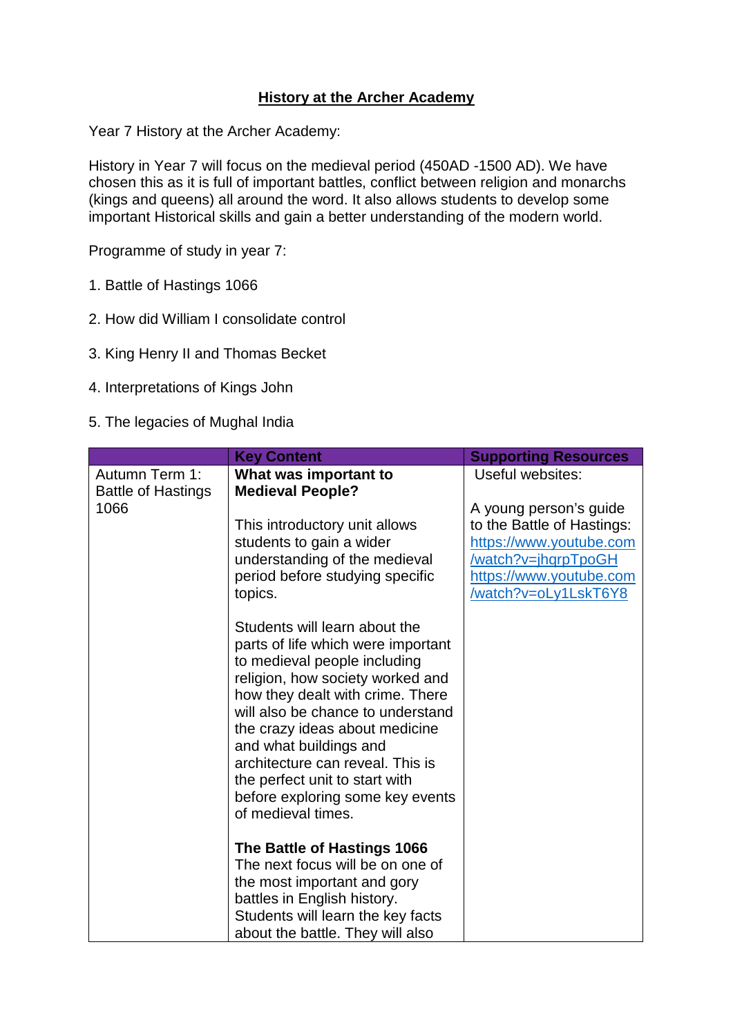# **History at the Archer Academy**

Year 7 History at the Archer Academy:

History in Year 7 will focus on the medieval period (450AD -1500 AD). We have chosen this as it is full of important battles, conflict between religion and monarchs (kings and queens) all around the word. It also allows students to develop some important Historical skills and gain a better understanding of the modern world.

Programme of study in year 7:

- 1. Battle of Hastings 1066
- 2. How did William I consolidate control
- 3. King Henry II and Thomas Becket
- 4. Interpretations of Kings John
- 5. The legacies of Mughal India

|                                             | <b>Key Content</b>                                                                                                                                                                                                                                                                                                                                                                     | <b>Supporting Resources</b>                                                                                                                               |
|---------------------------------------------|----------------------------------------------------------------------------------------------------------------------------------------------------------------------------------------------------------------------------------------------------------------------------------------------------------------------------------------------------------------------------------------|-----------------------------------------------------------------------------------------------------------------------------------------------------------|
| Autumn Term 1:<br><b>Battle of Hastings</b> | What was important to<br><b>Medieval People?</b>                                                                                                                                                                                                                                                                                                                                       | Useful websites:                                                                                                                                          |
| 1066                                        | This introductory unit allows<br>students to gain a wider<br>understanding of the medieval<br>period before studying specific<br>topics.                                                                                                                                                                                                                                               | A young person's guide<br>to the Battle of Hastings:<br>https://www.youtube.com<br>/watch?v=jhqrpTpoGH<br>https://www.youtube.com<br>/watch?v=oLy1LskT6Y8 |
|                                             | Students will learn about the<br>parts of life which were important<br>to medieval people including<br>religion, how society worked and<br>how they dealt with crime. There<br>will also be chance to understand<br>the crazy ideas about medicine<br>and what buildings and<br>architecture can reveal. This is<br>the perfect unit to start with<br>before exploring some key events |                                                                                                                                                           |
|                                             | of medieval times.<br>The Battle of Hastings 1066<br>The next focus will be on one of                                                                                                                                                                                                                                                                                                  |                                                                                                                                                           |
|                                             | the most important and gory<br>battles in English history.<br>Students will learn the key facts<br>about the battle. They will also                                                                                                                                                                                                                                                    |                                                                                                                                                           |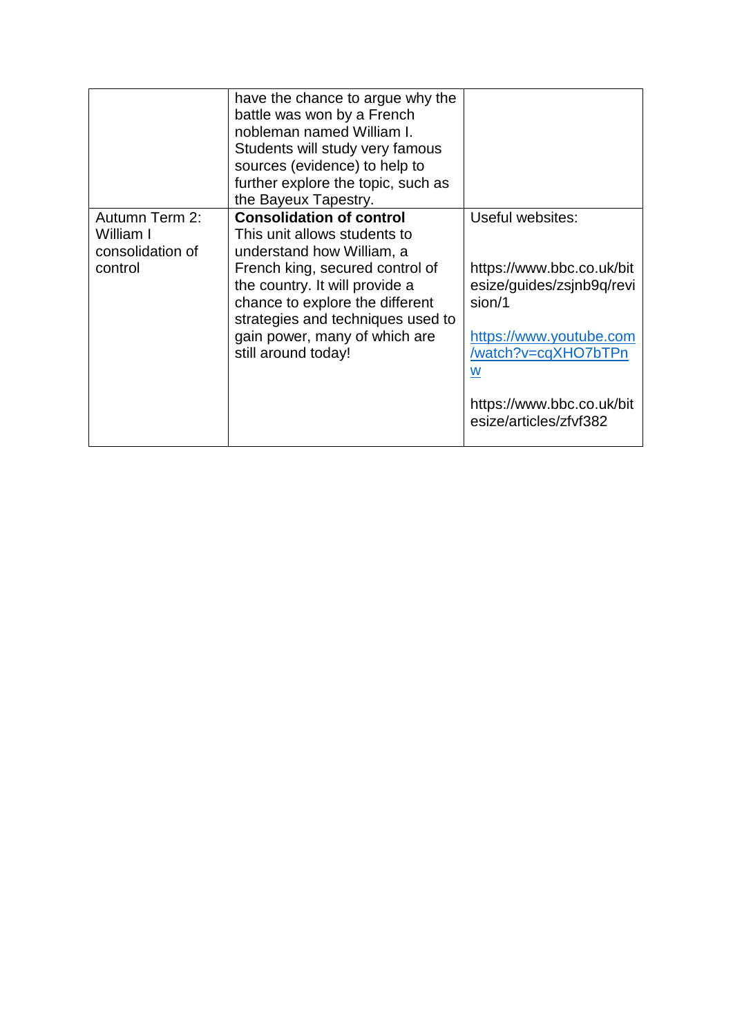|                                                            | have the chance to argue why the<br>battle was won by a French<br>nobleman named William I.<br>Students will study very famous<br>sources (evidence) to help to<br>further explore the topic, such as<br>the Bayeux Tapestry.                                                                     |                                                                                                                                                                                                    |
|------------------------------------------------------------|---------------------------------------------------------------------------------------------------------------------------------------------------------------------------------------------------------------------------------------------------------------------------------------------------|----------------------------------------------------------------------------------------------------------------------------------------------------------------------------------------------------|
| Autumn Term 2:<br>William I<br>consolidation of<br>control | <b>Consolidation of control</b><br>This unit allows students to<br>understand how William, a<br>French king, secured control of<br>the country. It will provide a<br>chance to explore the different<br>strategies and techniques used to<br>gain power, many of which are<br>still around today! | Useful websites:<br>https://www.bbc.co.uk/bit<br>esize/guides/zsjnb9q/revi<br>sion/1<br>https://www.youtube.com<br>/watch?v=cqXHO7bTPn<br>W<br>https://www.bbc.co.uk/bit<br>esize/articles/zfvf382 |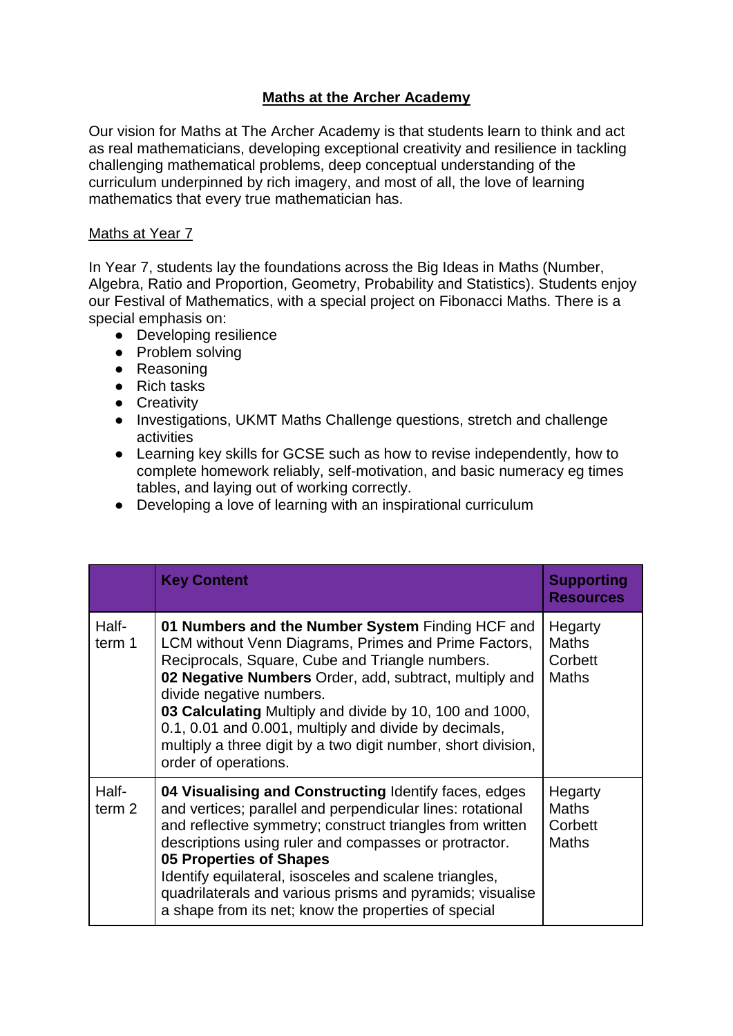# **Maths at the Archer Academy**

Our vision for Maths at The Archer Academy is that students learn to think and act as real mathematicians, developing exceptional creativity and resilience in tackling challenging mathematical problems, deep conceptual understanding of the curriculum underpinned by rich imagery, and most of all, the love of learning mathematics that every true mathematician has.

#### Maths at Year 7

In Year 7, students lay the foundations across the Big Ideas in Maths (Number, Algebra, Ratio and Proportion, Geometry, Probability and Statistics). Students enjoy our Festival of Mathematics, with a special project on Fibonacci Maths. There is a special emphasis on:

- Developing resilience
- Problem solving
- Reasoning
- Rich tasks
- Creativity
- Investigations, UKMT Maths Challenge questions, stretch and challenge activities
- Learning key skills for GCSE such as how to revise independently, how to complete homework reliably, self-motivation, and basic numeracy eg times tables, and laying out of working correctly.
- Developing a love of learning with an inspirational curriculum

|                            | <b>Key Content</b>                                                                                                                                                                                                                                                                                                                                                                                                                                             | <b>Supporting</b><br><b>Resources</b>              |
|----------------------------|----------------------------------------------------------------------------------------------------------------------------------------------------------------------------------------------------------------------------------------------------------------------------------------------------------------------------------------------------------------------------------------------------------------------------------------------------------------|----------------------------------------------------|
| Half-<br>term 1            | 01 Numbers and the Number System Finding HCF and<br>LCM without Venn Diagrams, Primes and Prime Factors,<br>Reciprocals, Square, Cube and Triangle numbers.<br>02 Negative Numbers Order, add, subtract, multiply and<br>divide negative numbers.<br>03 Calculating Multiply and divide by 10, 100 and 1000,<br>0.1, 0.01 and 0.001, multiply and divide by decimals,<br>multiply a three digit by a two digit number, short division,<br>order of operations. | Hegarty<br><b>Maths</b><br>Corbett<br><b>Maths</b> |
| Half-<br>term <sub>2</sub> | 04 Visualising and Constructing Identify faces, edges<br>and vertices; parallel and perpendicular lines: rotational<br>and reflective symmetry; construct triangles from written<br>descriptions using ruler and compasses or protractor.<br><b>05 Properties of Shapes</b><br>Identify equilateral, isosceles and scalene triangles,<br>quadrilaterals and various prisms and pyramids; visualise<br>a shape from its net; know the properties of special     | Hegarty<br><b>Maths</b><br>Corbett<br><b>Maths</b> |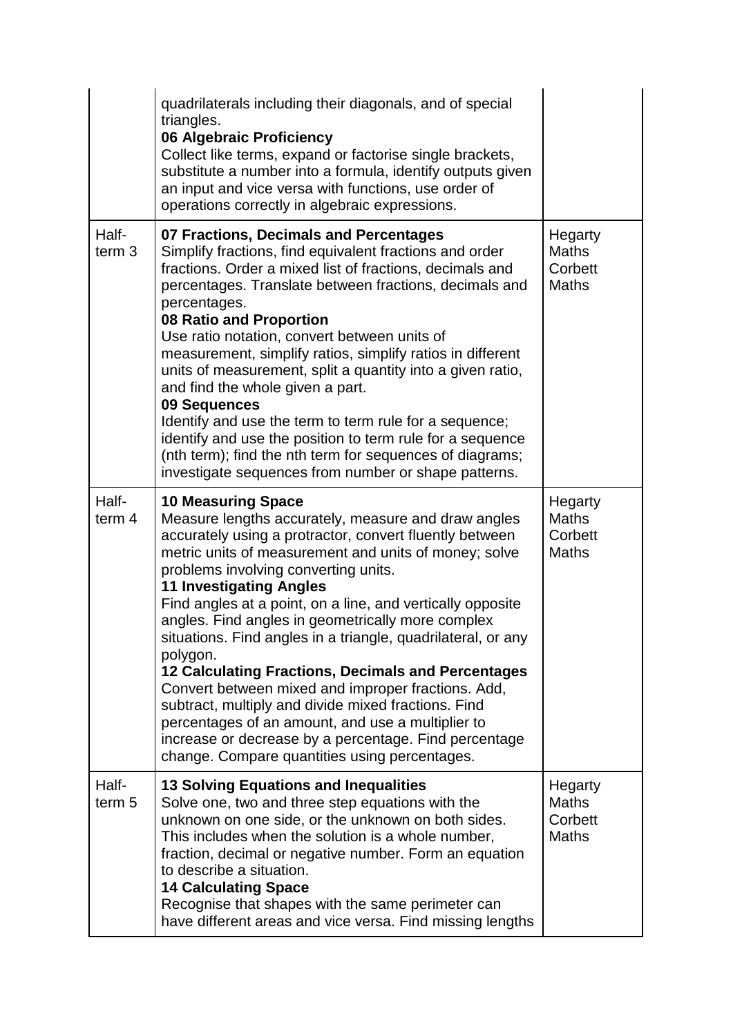|                            | quadrilaterals including their diagonals, and of special<br>triangles.<br>06 Algebraic Proficiency<br>Collect like terms, expand or factorise single brackets,<br>substitute a number into a formula, identify outputs given<br>an input and vice versa with functions, use order of<br>operations correctly in algebraic expressions.                                                                                                                                                                                                                                                                                                                                                                                                                                                                          |                                                    |
|----------------------------|-----------------------------------------------------------------------------------------------------------------------------------------------------------------------------------------------------------------------------------------------------------------------------------------------------------------------------------------------------------------------------------------------------------------------------------------------------------------------------------------------------------------------------------------------------------------------------------------------------------------------------------------------------------------------------------------------------------------------------------------------------------------------------------------------------------------|----------------------------------------------------|
| Half-<br>term <sub>3</sub> | 07 Fractions, Decimals and Percentages<br>Simplify fractions, find equivalent fractions and order<br>fractions. Order a mixed list of fractions, decimals and<br>percentages. Translate between fractions, decimals and<br>percentages.<br>08 Ratio and Proportion<br>Use ratio notation, convert between units of<br>measurement, simplify ratios, simplify ratios in different<br>units of measurement, split a quantity into a given ratio,<br>and find the whole given a part.<br>09 Sequences<br>Identify and use the term to term rule for a sequence;<br>identify and use the position to term rule for a sequence<br>(nth term); find the nth term for sequences of diagrams;<br>investigate sequences from number or shape patterns.                                                                   | Hegarty<br><b>Maths</b><br>Corbett<br><b>Maths</b> |
| Half-<br>term 4            | <b>10 Measuring Space</b><br>Measure lengths accurately, measure and draw angles<br>accurately using a protractor, convert fluently between<br>metric units of measurement and units of money; solve<br>problems involving converting units.<br><b>11 Investigating Angles</b><br>Find angles at a point, on a line, and vertically opposite<br>angles. Find angles in geometrically more complex<br>situations. Find angles in a triangle, quadrilateral, or any<br>polygon.<br>12 Calculating Fractions, Decimals and Percentages<br>Convert between mixed and improper fractions. Add,<br>subtract, multiply and divide mixed fractions. Find<br>percentages of an amount, and use a multiplier to<br>increase or decrease by a percentage. Find percentage<br>change. Compare quantities using percentages. | Hegarty<br><b>Maths</b><br>Corbett<br><b>Maths</b> |
| Half-<br>term <sub>5</sub> | <b>13 Solving Equations and Inequalities</b><br>Solve one, two and three step equations with the<br>unknown on one side, or the unknown on both sides.<br>This includes when the solution is a whole number,<br>fraction, decimal or negative number. Form an equation<br>to describe a situation.<br><b>14 Calculating Space</b><br>Recognise that shapes with the same perimeter can<br>have different areas and vice versa. Find missing lengths                                                                                                                                                                                                                                                                                                                                                             | Hegarty<br><b>Maths</b><br>Corbett<br><b>Maths</b> |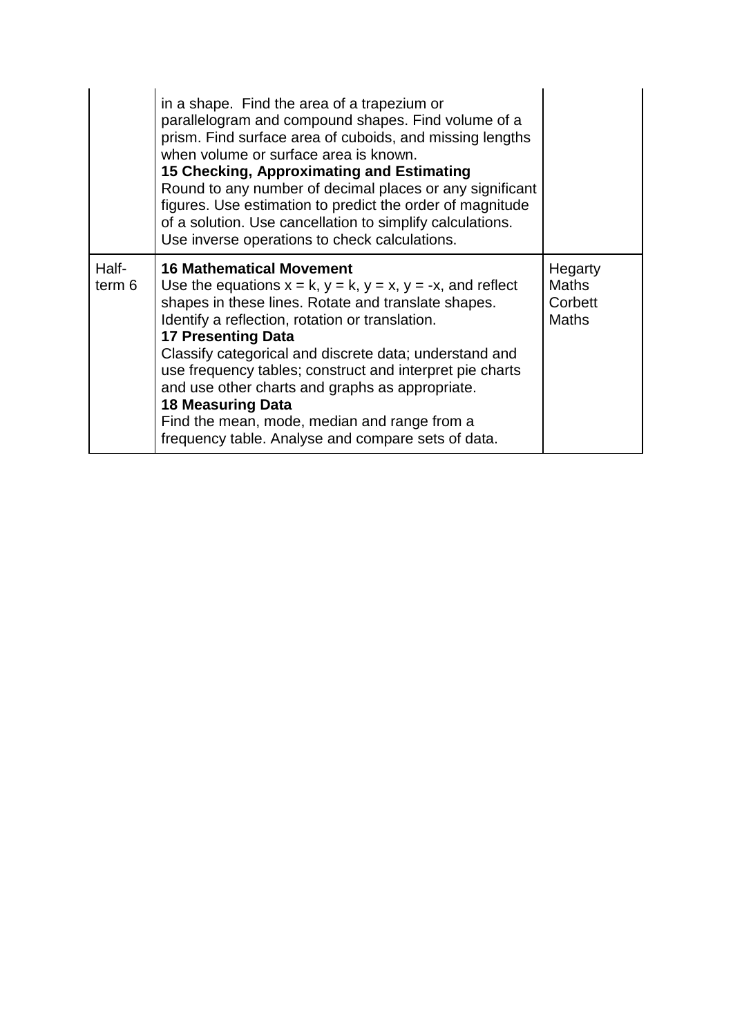|                 | in a shape. Find the area of a trapezium or<br>parallelogram and compound shapes. Find volume of a<br>prism. Find surface area of cuboids, and missing lengths<br>when volume or surface area is known.<br>15 Checking, Approximating and Estimating<br>Round to any number of decimal places or any significant<br>figures. Use estimation to predict the order of magnitude<br>of a solution. Use cancellation to simplify calculations.<br>Use inverse operations to check calculations.                                                                 |                                                    |
|-----------------|-------------------------------------------------------------------------------------------------------------------------------------------------------------------------------------------------------------------------------------------------------------------------------------------------------------------------------------------------------------------------------------------------------------------------------------------------------------------------------------------------------------------------------------------------------------|----------------------------------------------------|
| Half-<br>term 6 | <b>16 Mathematical Movement</b><br>Use the equations $x = k$ , $y = k$ , $y = x$ , $y = -x$ , and reflect<br>shapes in these lines. Rotate and translate shapes.<br>Identify a reflection, rotation or translation.<br><b>17 Presenting Data</b><br>Classify categorical and discrete data; understand and<br>use frequency tables; construct and interpret pie charts<br>and use other charts and graphs as appropriate.<br><b>18 Measuring Data</b><br>Find the mean, mode, median and range from a<br>frequency table. Analyse and compare sets of data. | Hegarty<br><b>Maths</b><br>Corbett<br><b>Maths</b> |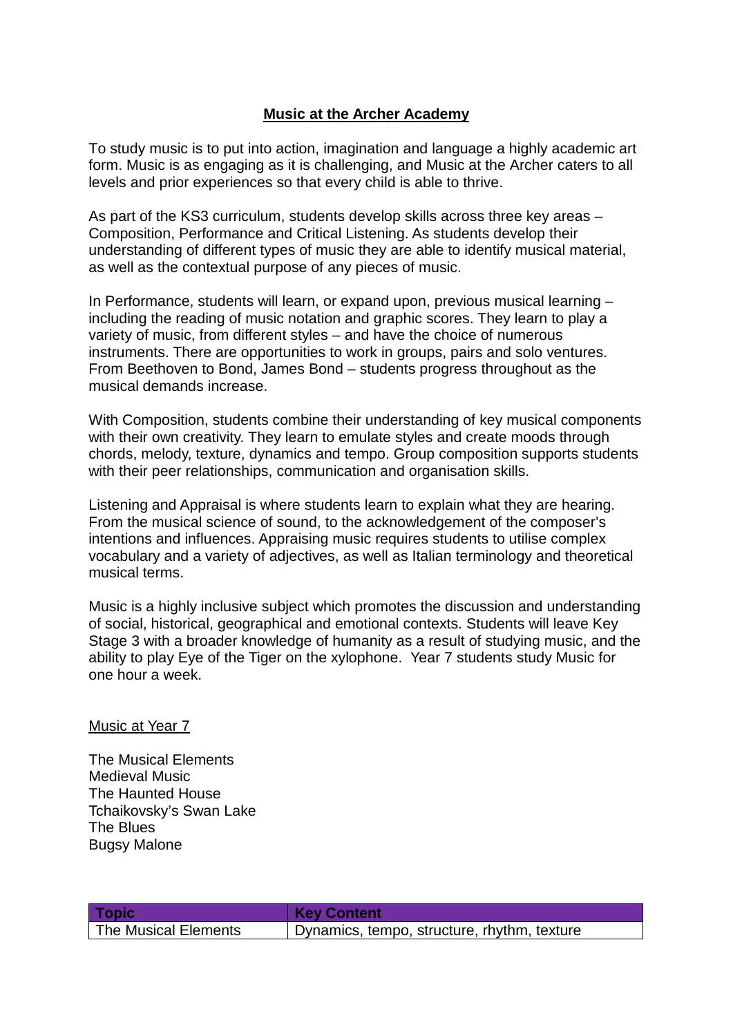### **Music at the Archer Academy**

To study music is to put into action, imagination and language a highly academic art form. Music is as engaging as it is challenging, and Music at the Archer caters to all levels and prior experiences so that every child is able to thrive.

As part of the KS3 curriculum, students develop skills across three key areas – Composition, Performance and Critical Listening. As students develop their understanding of different types of music they are able to identify musical material, as well as the contextual purpose of any pieces of music.

In Performance, students will learn, or expand upon, previous musical learning – including the reading of music notation and graphic scores. They learn to play a variety of music, from different styles – and have the choice of numerous instruments. There are opportunities to work in groups, pairs and solo ventures. From Beethoven to Bond, James Bond – students progress throughout as the musical demands increase.

With Composition, students combine their understanding of key musical components with their own creativity. They learn to emulate styles and create moods through chords, melody, texture, dynamics and tempo. Group composition supports students with their peer relationships, communication and organisation skills.

Listening and Appraisal is where students learn to explain what they are hearing. From the musical science of sound, to the acknowledgement of the composer's intentions and influences. Appraising music requires students to utilise complex vocabulary and a variety of adjectives, as well as Italian terminology and theoretical musical terms.

Music is a highly inclusive subject which promotes the discussion and understanding of social, historical, geographical and emotional contexts. Students will leave Key Stage 3 with a broader knowledge of humanity as a result of studying music, and the ability to play Eye of the Tiger on the xylophone. Year 7 students study Music for one hour a week.

#### Music at Year 7

The Musical Elements Medieval Music The Haunted House Tchaikovsky's Swan Lake The Blues Bugsy Malone

| <b>Topic</b>         | <b>Key Content</b>                          |
|----------------------|---------------------------------------------|
| The Musical Elements | Dynamics, tempo, structure, rhythm, texture |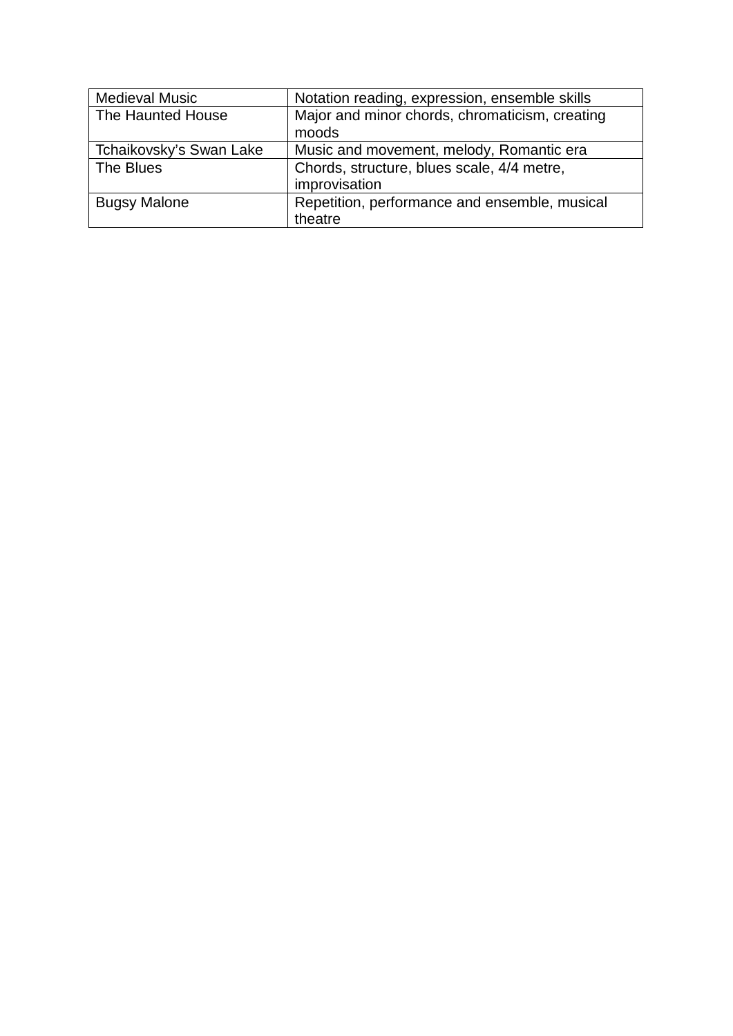| <b>Medieval Music</b>   | Notation reading, expression, ensemble skills  |
|-------------------------|------------------------------------------------|
| The Haunted House       | Major and minor chords, chromaticism, creating |
|                         | moods                                          |
| Tchaikovsky's Swan Lake | Music and movement, melody, Romantic era       |
| The Blues               | Chords, structure, blues scale, 4/4 metre,     |
|                         | improvisation                                  |
| <b>Bugsy Malone</b>     | Repetition, performance and ensemble, musical  |
|                         | theatre                                        |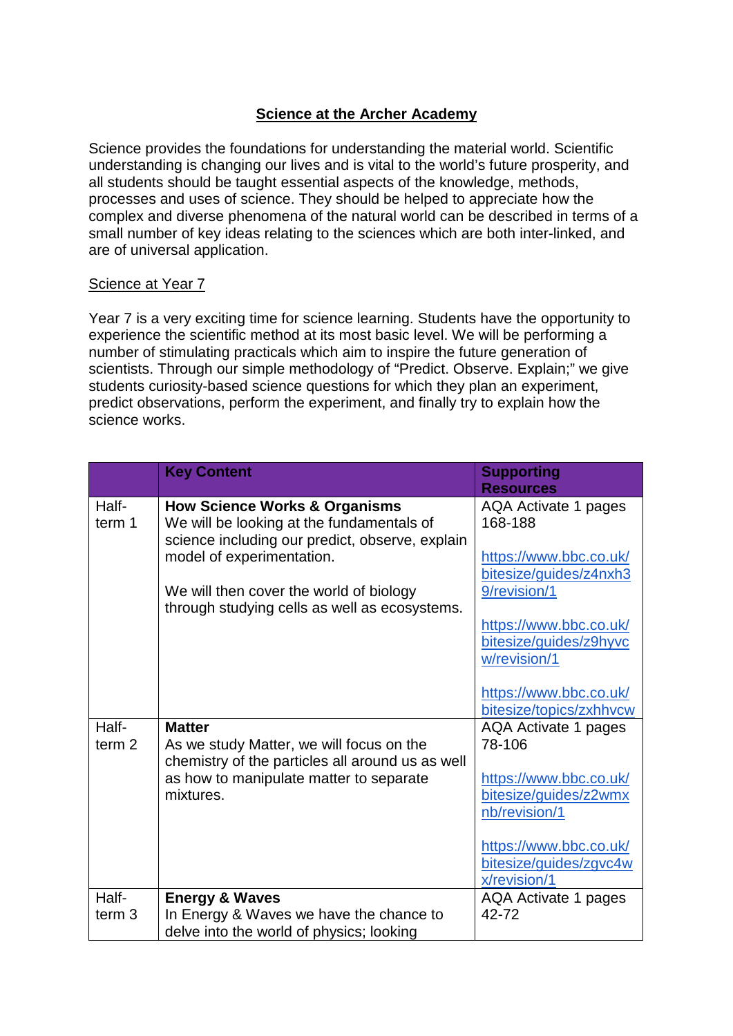# **Science at the Archer Academy**

Science provides the foundations for understanding the material world. Scientific understanding is changing our lives and is vital to the world's future prosperity, and all students should be taught essential aspects of the knowledge, methods, processes and uses of science. They should be helped to appreciate how the complex and diverse phenomena of the natural world can be described in terms of a small number of key ideas relating to the sciences which are both inter-linked, and are of universal application.

### Science at Year 7

Year 7 is a very exciting time for science learning. Students have the opportunity to experience the scientific method at its most basic level. We will be performing a number of stimulating practicals which aim to inspire the future generation of scientists. Through our simple methodology of "Predict. Observe. Explain;" we give students curiosity-based science questions for which they plan an experiment, predict observations, perform the experiment, and finally try to explain how the science works.

|                   | <b>Key Content</b>                               | <b>Supporting</b>           |
|-------------------|--------------------------------------------------|-----------------------------|
|                   |                                                  | <b>Resources</b>            |
| Half-             | <b>How Science Works &amp; Organisms</b>         | <b>AQA Activate 1 pages</b> |
| term 1            | We will be looking at the fundamentals of        | 168-188                     |
|                   | science including our predict, observe, explain  |                             |
|                   | model of experimentation.                        | https://www.bbc.co.uk/      |
|                   |                                                  | bitesize/guides/z4nxh3      |
|                   | We will then cover the world of biology          | 9/revision/1                |
|                   | through studying cells as well as ecosystems.    |                             |
|                   |                                                  | https://www.bbc.co.uk/      |
|                   |                                                  | bitesize/guides/z9hyvc      |
|                   |                                                  | w/revision/1                |
|                   |                                                  |                             |
|                   |                                                  | https://www.bbc.co.uk/      |
|                   |                                                  | bitesize/topics/zxhhvcw     |
| Half-             | <b>Matter</b>                                    | <b>AQA Activate 1 pages</b> |
| term <sub>2</sub> | As we study Matter, we will focus on the         | 78-106                      |
|                   | chemistry of the particles all around us as well |                             |
|                   | as how to manipulate matter to separate          | https://www.bbc.co.uk/      |
|                   | mixtures.                                        | bitesize/guides/z2wmx       |
|                   |                                                  | nb/revision/1               |
|                   |                                                  |                             |
|                   |                                                  | https://www.bbc.co.uk/      |
|                   |                                                  | bitesize/guides/zgvc4w      |
|                   |                                                  | x/revision/1                |
| Half-             | <b>Energy &amp; Waves</b>                        | AQA Activate 1 pages        |
| term <sub>3</sub> | In Energy & Waves we have the chance to          | 42-72                       |
|                   | delve into the world of physics; looking         |                             |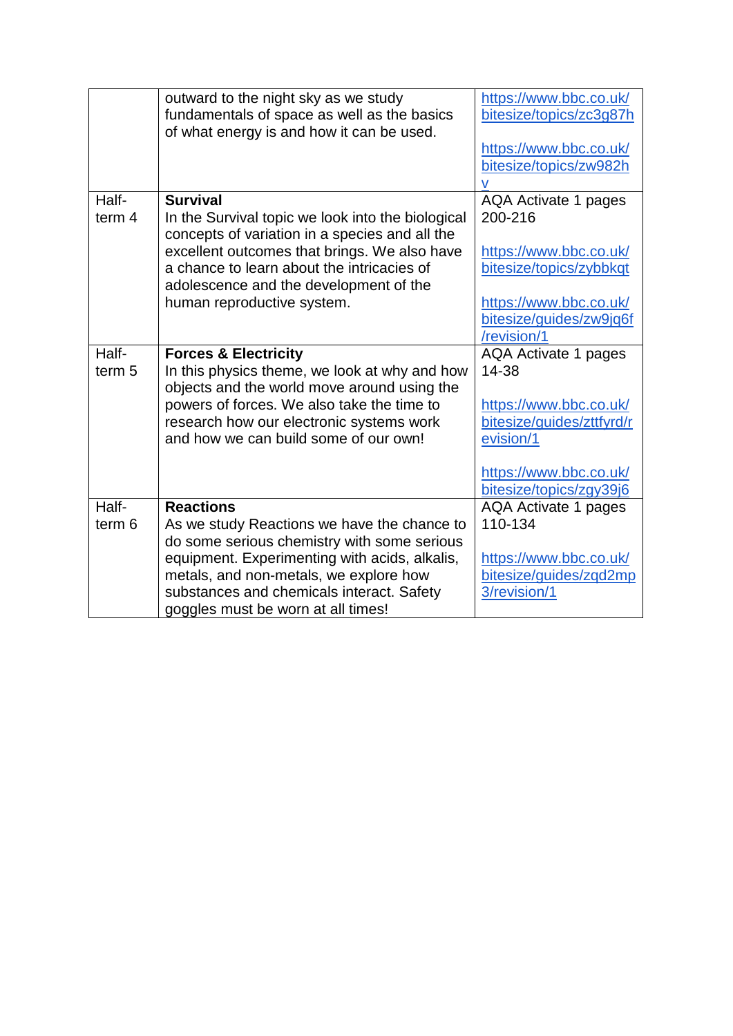|                   | outward to the night sky as we study              | https://www.bbc.co.uk/    |
|-------------------|---------------------------------------------------|---------------------------|
|                   | fundamentals of space as well as the basics       | bitesize/topics/zc3q87h   |
|                   | of what energy is and how it can be used.         |                           |
|                   |                                                   | https://www.bbc.co.uk/    |
|                   |                                                   | bitesize/topics/zw982h    |
|                   |                                                   |                           |
| Half-             | <b>Survival</b>                                   | AQA Activate 1 pages      |
| term 4            | In the Survival topic we look into the biological | 200-216                   |
|                   | concepts of variation in a species and all the    |                           |
|                   | excellent outcomes that brings. We also have      | https://www.bbc.co.uk/    |
|                   | a chance to learn about the intricacies of        | bitesize/topics/zybbkqt   |
|                   | adolescence and the development of the            |                           |
|                   | human reproductive system.                        | https://www.bbc.co.uk/    |
|                   |                                                   | bitesize/guides/zw9jq6f   |
|                   |                                                   | /revision/1               |
| Half-             | <b>Forces &amp; Electricity</b>                   | AQA Activate 1 pages      |
| term <sub>5</sub> | In this physics theme, we look at why and how     | 14-38                     |
|                   | objects and the world move around using the       |                           |
|                   | powers of forces. We also take the time to        | https://www.bbc.co.uk/    |
|                   | research how our electronic systems work          | bitesize/guides/zttfyrd/r |
|                   | and how we can build some of our own!             | evision/1                 |
|                   |                                                   |                           |
|                   |                                                   | https://www.bbc.co.uk/    |
|                   |                                                   | bitesize/topics/zgy39j6   |
| Half-             | <b>Reactions</b>                                  | AQA Activate 1 pages      |
| term <sub>6</sub> | As we study Reactions we have the chance to       | 110-134                   |
|                   | do some serious chemistry with some serious       |                           |
|                   | equipment. Experimenting with acids, alkalis,     | https://www.bbc.co.uk/    |
|                   | metals, and non-metals, we explore how            | bitesize/guides/zqd2mp    |
|                   | substances and chemicals interact. Safety         | 3/revision/1              |
|                   | goggles must be worn at all times!                |                           |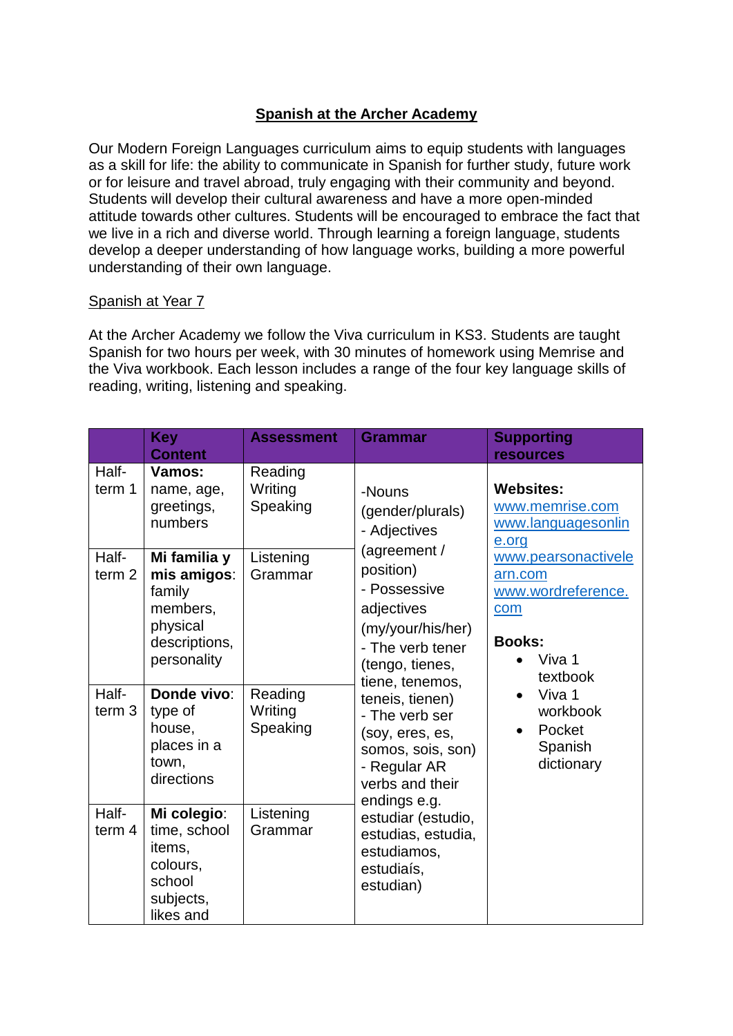# **Spanish at the Archer Academy**

Our Modern Foreign Languages curriculum aims to equip students with languages as a skill for life: the ability to communicate in Spanish for further study, future work or for leisure and travel abroad, truly engaging with their community and beyond. Students will develop their cultural awareness and have a more open-minded attitude towards other cultures. Students will be encouraged to embrace the fact that we live in a rich and diverse world. Through learning a foreign language, students develop a deeper understanding of how language works, building a more powerful understanding of their own language.

#### Spanish at Year 7

At the Archer Academy we follow the Viva curriculum in KS3. Students are taught Spanish for two hours per week, with 30 minutes of homework using Memrise and the Viva workbook. Each lesson includes a range of the four key language skills of reading, writing, listening and speaking.

|                            | <b>Key</b><br><b>Content</b>                                                                  | <b>Assessment</b>              | <b>Grammar</b>                                                                                                                                                                                                                                                                                                                                                                                             | <b>Supporting</b><br><b>resources</b>                                                                                                                       |                                       |
|----------------------------|-----------------------------------------------------------------------------------------------|--------------------------------|------------------------------------------------------------------------------------------------------------------------------------------------------------------------------------------------------------------------------------------------------------------------------------------------------------------------------------------------------------------------------------------------------------|-------------------------------------------------------------------------------------------------------------------------------------------------------------|---------------------------------------|
| Half-<br>term 1            | Vamos:<br>name, age,<br>greetings,<br>numbers                                                 | Reading<br>Writing<br>Speaking | -Nouns<br>(gender/plurals)<br>- Adjectives<br>(agreement /<br>position)<br>- Possessive<br>adjectives<br>(my/your/his/her)<br>- The verb tener<br>(tengo, tienes,<br>tiene, tenemos,<br>teneis, tienen)<br>- The verb ser<br>(soy, eres, es,<br>somos, sois, son)<br>- Regular AR<br>verbs and their<br>endings e.g.<br>estudiar (estudio,<br>estudias, estudia,<br>estudiamos,<br>estudiaís,<br>estudian) | <b>Websites:</b><br>e.org                                                                                                                                   | www.memrise.com<br>www.languagesonlin |
| Half-<br>term <sub>2</sub> | Mi familia y<br>mis amigos:<br>family<br>members,<br>physical<br>descriptions,<br>personality | Listening<br>Grammar           |                                                                                                                                                                                                                                                                                                                                                                                                            | www.pearsonactivele<br>arn.com<br>www.wordreference.<br>com<br><b>Books:</b><br>Viva 1<br>textbook<br>Viva 1<br>workbook<br>Pocket<br>Spanish<br>dictionary |                                       |
| Half-<br>term $3$          | Donde vivo:<br>type of<br>house,<br>places in a<br>town,<br>directions                        | Reading<br>Writing<br>Speaking |                                                                                                                                                                                                                                                                                                                                                                                                            |                                                                                                                                                             |                                       |
| Half-<br>term $4$          | Mi colegio:<br>time, school<br>items,<br>colours,<br>school<br>subjects,<br>likes and         | Listening<br>Grammar           |                                                                                                                                                                                                                                                                                                                                                                                                            |                                                                                                                                                             |                                       |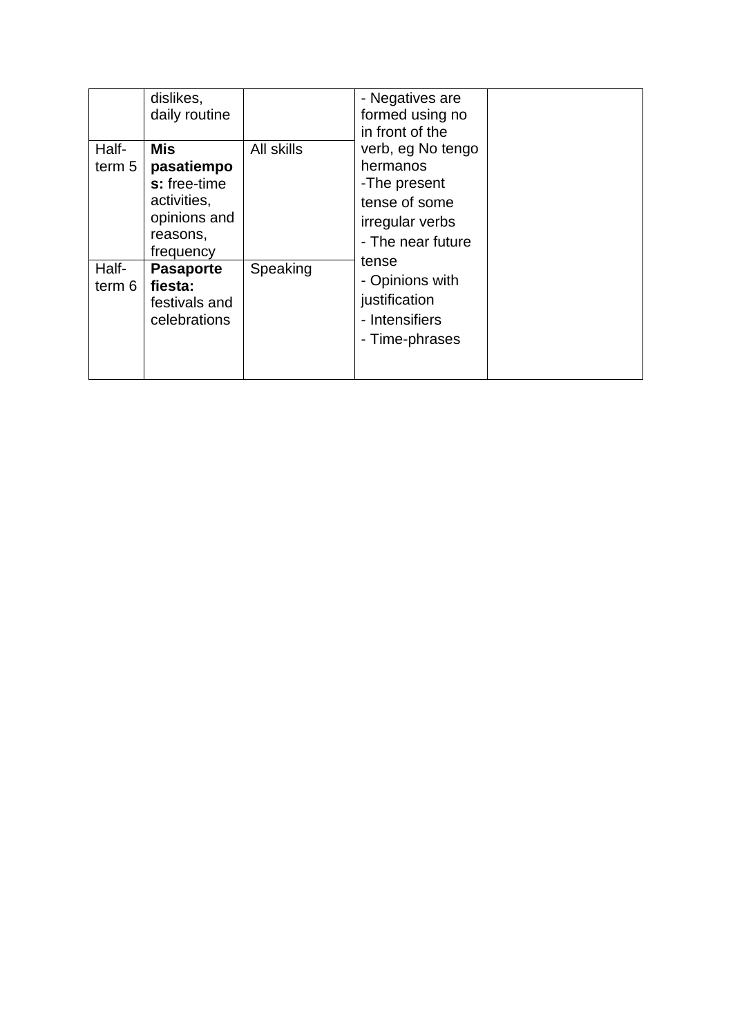| Half-<br>term 5 | dislikes,<br>daily routine<br><b>Mis</b><br>pasatiempo<br>s: free-time<br>activities,<br>opinions and<br>reasons,<br>frequency | All skills | - Negatives are<br>formed using no<br>in front of the<br>verb, eg No tengo<br>hermanos<br>-The present<br>tense of some<br>irregular verbs<br>- The near future<br>tense<br>- Opinions with<br>justification<br>- Intensifiers<br>- Time-phrases |  |
|-----------------|--------------------------------------------------------------------------------------------------------------------------------|------------|--------------------------------------------------------------------------------------------------------------------------------------------------------------------------------------------------------------------------------------------------|--|
| Half-<br>term 6 | <b>Pasaporte</b><br>fiesta:<br>festivals and<br>celebrations                                                                   | Speaking   |                                                                                                                                                                                                                                                  |  |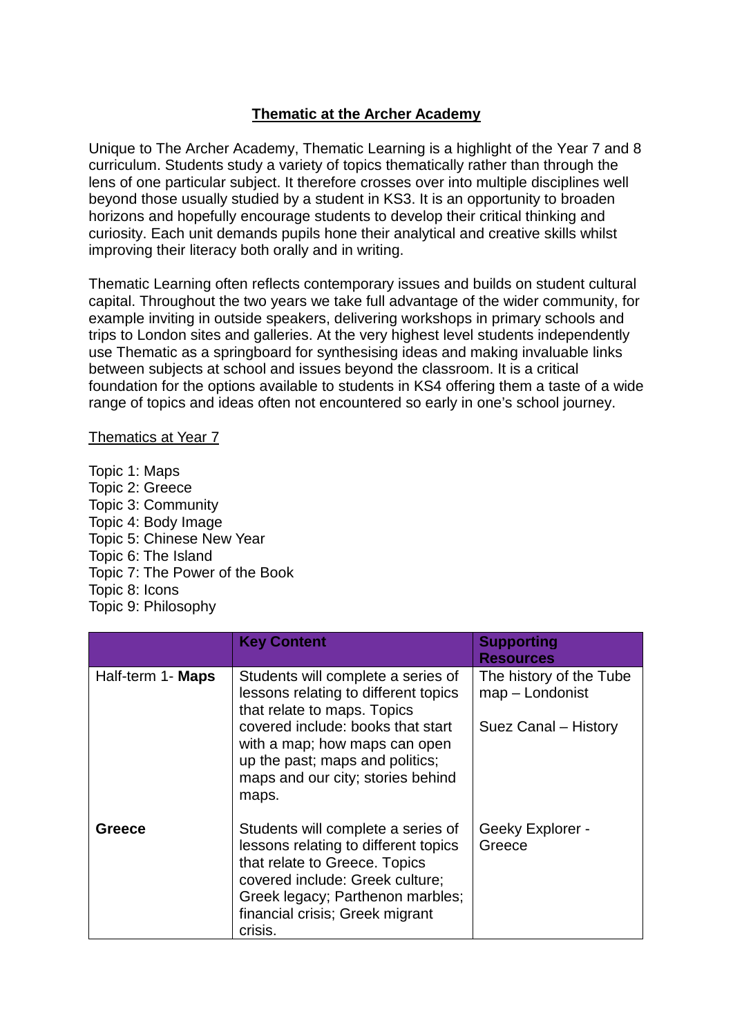### **Thematic at the Archer Academy**

Unique to The Archer Academy, Thematic Learning is a highlight of the Year 7 and 8 curriculum. Students study a variety of topics thematically rather than through the lens of one particular subject. It therefore crosses over into multiple disciplines well beyond those usually studied by a student in KS3. It is an opportunity to broaden horizons and hopefully encourage students to develop their critical thinking and curiosity. Each unit demands pupils hone their analytical and creative skills whilst improving their literacy both orally and in writing.

Thematic Learning often reflects contemporary issues and builds on student cultural capital. Throughout the two years we take full advantage of the wider community, for example inviting in outside speakers, delivering workshops in primary schools and trips to London sites and galleries. At the very highest level students independently use Thematic as a springboard for synthesising ideas and making invaluable links between subjects at school and issues beyond the classroom. It is a critical foundation for the options available to students in KS4 offering them a taste of a wide range of topics and ideas often not encountered so early in one's school journey.

Thematics at Year 7

Topic 1: Maps Topic 2: Greece Topic 3: Community Topic 4: Body Image Topic 5: Chinese New Year Topic 6: The Island Topic 7: The Power of the Book Topic 8: Icons Topic 9: Philosophy

|                   | <b>Key Content</b>                                                                                                                                                                                                               | <b>Supporting</b><br><b>Resources</b>      |
|-------------------|----------------------------------------------------------------------------------------------------------------------------------------------------------------------------------------------------------------------------------|--------------------------------------------|
| Half-term 1- Maps | Students will complete a series of<br>lessons relating to different topics<br>that relate to maps. Topics                                                                                                                        | The history of the Tube<br>map - Londonist |
|                   | covered include: books that start<br>with a map; how maps can open<br>up the past; maps and politics;<br>maps and our city; stories behind<br>maps.                                                                              | Suez Canal – History                       |
| Greece            | Students will complete a series of<br>lessons relating to different topics<br>that relate to Greece. Topics<br>covered include: Greek culture;<br>Greek legacy; Parthenon marbles;<br>financial crisis; Greek migrant<br>crisis. | Geeky Explorer -<br>Greece                 |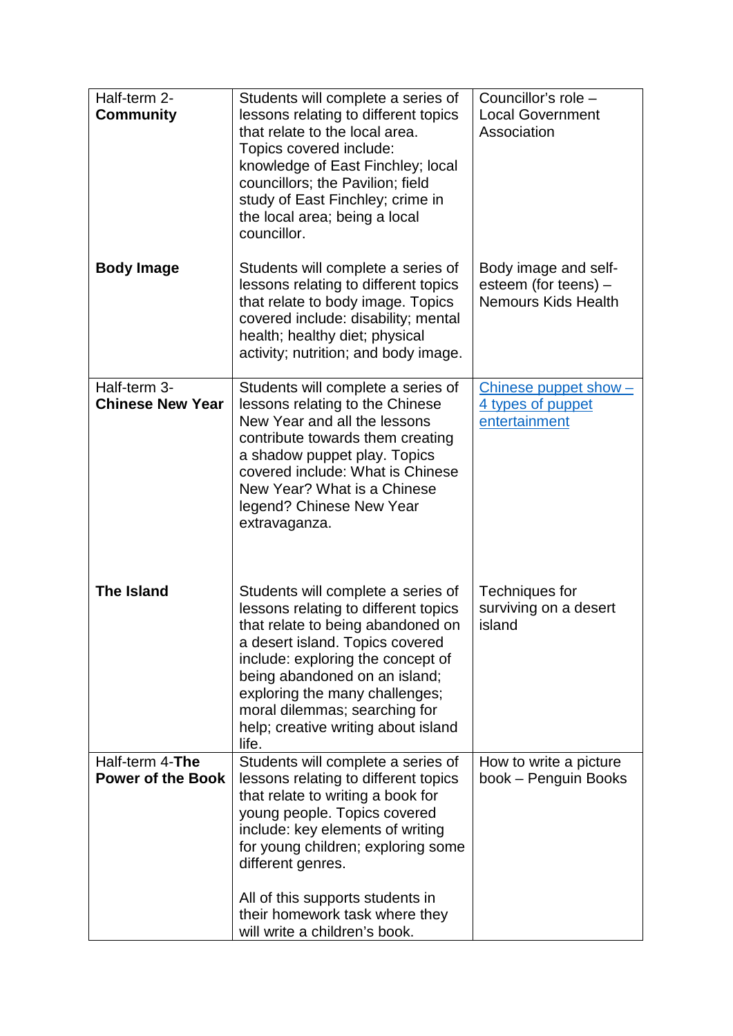| Half-term 2-<br><b>Community</b>        | Students will complete a series of<br>lessons relating to different topics                                                                                                                                                                                                                                                                  | Councillor's role -<br><b>Local Government</b>                             |
|-----------------------------------------|---------------------------------------------------------------------------------------------------------------------------------------------------------------------------------------------------------------------------------------------------------------------------------------------------------------------------------------------|----------------------------------------------------------------------------|
|                                         | that relate to the local area.<br>Topics covered include:<br>knowledge of East Finchley; local<br>councillors; the Pavilion; field<br>study of East Finchley; crime in<br>the local area; being a local<br>councillor.                                                                                                                      | Association                                                                |
| <b>Body Image</b>                       | Students will complete a series of<br>lessons relating to different topics<br>that relate to body image. Topics<br>covered include: disability; mental<br>health; healthy diet; physical<br>activity; nutrition; and body image.                                                                                                            | Body image and self-<br>esteem (for teens) -<br><b>Nemours Kids Health</b> |
| Half-term 3-<br><b>Chinese New Year</b> | Students will complete a series of<br>lessons relating to the Chinese<br>New Year and all the lessons<br>contribute towards them creating<br>a shadow puppet play. Topics<br>covered include: What is Chinese<br>New Year? What is a Chinese<br>legend? Chinese New Year<br>extravaganza.                                                   | Chinese puppet show -<br>4 types of puppet<br>entertainment                |
| <b>The Island</b>                       | Students will complete a series of<br>lessons relating to different topics<br>that relate to being abandoned on<br>a desert island. Topics covered<br>include: exploring the concept of<br>being abandoned on an island;<br>exploring the many challenges;<br>moral dilemmas; searching for<br>help; creative writing about island<br>life. | Techniques for<br>surviving on a desert<br>island                          |
| Half-term 4-The                         | Students will complete a series of                                                                                                                                                                                                                                                                                                          | How to write a picture                                                     |
| <b>Power of the Book</b>                | lessons relating to different topics<br>that relate to writing a book for                                                                                                                                                                                                                                                                   | book - Penguin Books                                                       |
|                                         | young people. Topics covered                                                                                                                                                                                                                                                                                                                |                                                                            |
|                                         | include: key elements of writing<br>for young children; exploring some                                                                                                                                                                                                                                                                      |                                                                            |
|                                         | different genres.                                                                                                                                                                                                                                                                                                                           |                                                                            |
|                                         | All of this supports students in<br>their homework task where they<br>will write a children's book.                                                                                                                                                                                                                                         |                                                                            |